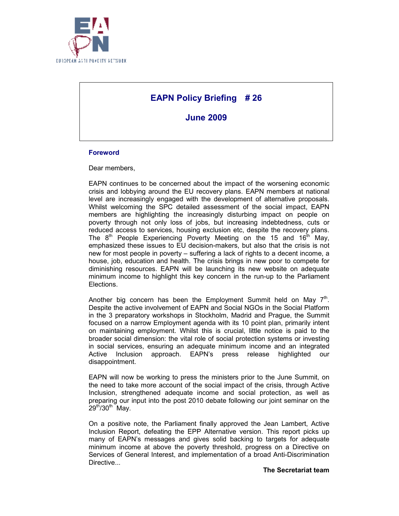

# **EAPN Policy Briefing # 26**

**June 2009** 

#### **Foreword**

Dear members,

EAPN continues to be concerned about the impact of the worsening economic crisis and lobbying around the EU recovery plans. EAPN members at national level are increasingly engaged with the development of alternative proposals. Whilst welcoming the SPC detailed assessment of the social impact, EAPN members are highlighting the increasingly disturbing impact on people on poverty through not only loss of jobs, but increasing indebtedness, cuts or reduced access to services, housing exclusion etc, despite the recovery plans. The  $8<sup>th</sup>$  People Experiencing Poverty Meeting on the 15 and 16<sup>th</sup> May, emphasized these issues to EU decision-makers, but also that the crisis is not new for most people in poverty – suffering a lack of rights to a decent income, a house, job, education and health. The crisis brings in new poor to compete for diminishing resources. EAPN will be launching its new website on adequate minimum income to highlight this key concern in the run-up to the Parliament Elections.

Another big concern has been the Employment Summit held on May  $7<sup>th</sup>$ . Despite the active involvement of EAPN and Social NGOs in the Social Platform in the 3 preparatory workshops in Stockholm, Madrid and Prague, the Summit focused on a narrow Employment agenda with its 10 point plan, primarily intent on maintaining employment. Whilst this is crucial, little notice is paid to the broader social dimension: the vital role of social protection systems or investing in social services, ensuring an adequate minimum income and an integrated Active Inclusion approach. EAPN's press release highlighted our disappointment.

EAPN will now be working to press the ministers prior to the June Summit, on the need to take more account of the social impact of the crisis, through Active Inclusion, strengthened adequate income and social protection, as well as preparing our input into the post 2010 debate following our joint seminar on the  $29<sup>th</sup>/30<sup>th</sup>$  May.

On a positive note, the Parliament finally approved the Jean Lambert, Active Inclusion Report, defeating the EPP Alternative version. This report picks up many of EAPN's messages and gives solid backing to targets for adequate minimum income at above the poverty threshold, progress on a Directive on Services of General Interest, and implementation of a broad Anti-Discrimination Directive...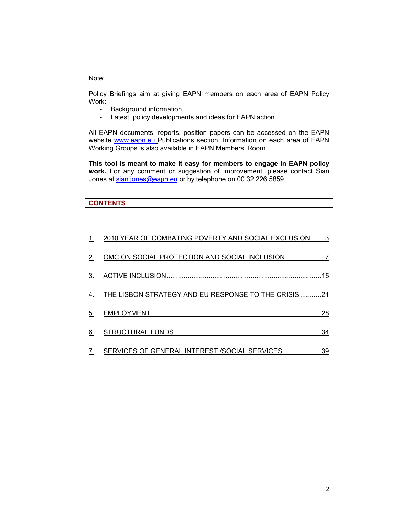# Note:

Policy Briefings aim at giving EAPN members on each area of EAPN Policy Work:

- Background information
- Latest policy developments and ideas for EAPN action

All EAPN documents, reports, position papers can be accessed on the EAPN website www.eapn.eu Publications section. Information on each area of EAPN Working Groups is also available in EAPN Members' Room.

**This tool is meant to make it easy for members to engage in EAPN policy work.** For any comment or suggestion of improvement, please contact Sian Jones at sian.jones@eapn.eu or by telephone on 00 32 226 5859

# **CONTENTS**

| $\mathbf{1}$ . | 2010 YEAR OF COMBATING POVERTY AND SOCIAL EXCLUSION 3       |
|----------------|-------------------------------------------------------------|
| 2.             |                                                             |
| 3.             |                                                             |
|                | <u>THE LISBON STRATEGY AND EU RESPONSE TO THE CRISIS 21</u> |
| 5.             |                                                             |
| 6.             |                                                             |
| 7.             | SERVICES OF GENERAL INTEREST /SOCIAL SERVICES39             |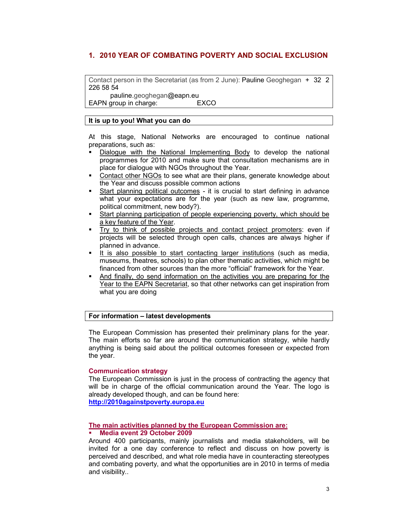# **1. 2010 YEAR OF COMBATING POVERTY AND SOCIAL EXCLUSION**

Contact person in the Secretariat (as from 2 June): Pauline Geoghegan + 32 2 226 58 54

 pauline.geoghegan@eapn.eu EAPN group in charge: EXCO

#### **It is up to you! What you can do**

At this stage, National Networks are encouraged to continue national preparations, such as:

- Dialogue with the National Implementing Body to develop the national programmes for 2010 and make sure that consultation mechanisms are in place for dialogue with NGOs throughout the Year.
- Contact other NGOs to see what are their plans, generate knowledge about the Year and discuss possible common actions
- Start planning political outcomes it is crucial to start defining in advance what your expectations are for the year (such as new law, programme, political commitment, new body?).
- Start planning participation of people experiencing poverty, which should be a key feature of the Year.
- Try to think of possible projects and contact project promoters: even if projects will be selected through open calls, chances are always higher if planned in advance.
- It is also possible to start contacting larger institutions (such as media, museums, theatres, schools) to plan other thematic activities, which might be financed from other sources than the more "official" framework for the Year.
- And finally, do send information on the activities you are preparing for the Year to the EAPN Secretariat, so that other networks can get inspiration from what you are doing

#### **For information – latest developments**

The European Commission has presented their preliminary plans for the year. The main efforts so far are around the communication strategy, while hardly anything is being said about the political outcomes foreseen or expected from the year.

#### **Communication strategy**

The European Commission is just in the process of contracting the agency that will be in charge of the official communication around the Year. The logo is already developed though, and can be found here:

**http://2010againstpoverty.europa.eu**

#### **The main activities planned by the European Commission are:**

#### **Media event 29 October 2009**

Around 400 participants, mainly journalists and media stakeholders, will be invited for a one day conference to reflect and discuss on how poverty is perceived and described, and what role media have in counteracting stereotypes and combating poverty, and what the opportunities are in 2010 in terms of media and visibility..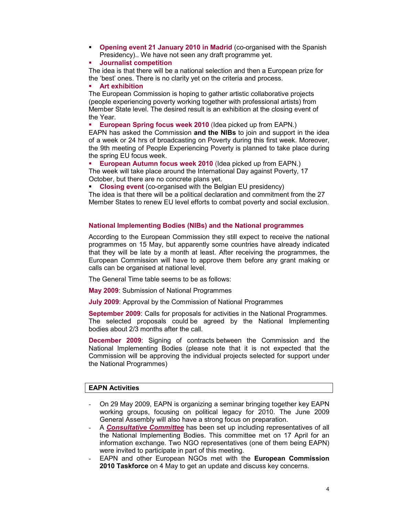**Opening event 21 January 2010 in Madrid** (co-organised with the Spanish Presidency).. We have not seen any draft programme yet.

#### **Journalist competition**

The idea is that there will be a national selection and then a European prize for the 'best' ones. There is no clarity yet on the criteria and process.

#### **Art exhibition**

The European Commission is hoping to gather artistic collaborative projects (people experiencing poverty working together with professional artists) from Member State level. The desired result is an exhibition at the closing event of the Year.

**European Spring focus week 2010** (Idea picked up from EAPN.)

EAPN has asked the Commission **and the NIBs** to join and support in the idea of a week or 24 hrs of broadcasting on Poverty during this first week. Moreover, the 9th meeting of People Experiencing Poverty is planned to take place during the spring EU focus week.

 **European Autumn focus week 2010** (Idea picked up from EAPN.) The week will take place around the International Day against Poverty, 17 October, but there are no concrete plans yet.

**Closing event** (co-organised with the Belgian EU presidency)

The idea is that there will be a political declaration and commitment from the 27 Member States to renew EU level efforts to combat poverty and social exclusion.

### **National Implementing Bodies (NIBs) and the National programmes**

According to the European Commission they still expect to receive the national programmes on 15 May, but apparently some countries have already indicated that they will be late by a month at least. After receiving the programmes, the European Commission will have to approve them before any grant making or calls can be organised at national level.

The General Time table seems to be as follows:

**May 2009**: Submission of National Programmes

**July 2009**: Approval by the Commission of National Programmes

**September 2009**: Calls for proposals for activities in the National Programmes. The selected proposals could be agreed by the National Implementing bodies about 2/3 months after the call.

**December 2009**: Signing of contracts between the Commission and the National Implementing Bodies (please note that it is not expected that the Commission will be approving the individual projects selected for support under the National Programmes)

### **EAPN Activities**

- On 29 May 2009, EAPN is organizing a seminar bringing together key EAPN working groups, focusing on political legacy for 2010. The June 2009 General Assembly will also have a strong focus on preparation.
- A *Consultative Committee* has been set up including representatives of all the National Implementing Bodies. This committee met on 17 April for an information exchange. Two NGO representatives (one of them being EAPN) were invited to participate in part of this meeting.
- EAPN and other European NGOs met with the **European Commission 2010 Taskforce** on 4 May to get an update and discuss key concerns.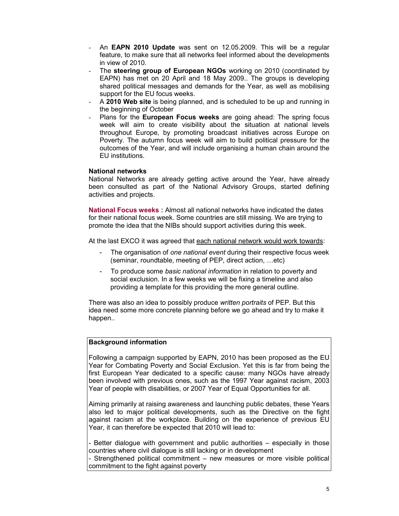- An **EAPN 2010 Update** was sent on 12.05.2009. This will be a regular feature, to make sure that all networks feel informed about the developments in view of 2010.
- The **steering group of European NGOs** working on 2010 (coordinated by EAPN) has met on 20 April and 18 May 2009.. The groups is developing shared political messages and demands for the Year, as well as mobilising support for the EU focus weeks.
- A **2010 Web site** is being planned, and is scheduled to be up and running in the beginning of October
- Plans for the **European Focus weeks** are going ahead: The spring focus week will aim to create visibility about the situation at national levels throughout Europe, by promoting broadcast initiatives across Europe on Poverty. The autumn focus week will aim to build political pressure for the outcomes of the Year, and will include organising a human chain around the EU institutions.

#### **National networks**

National Networks are already getting active around the Year, have already been consulted as part of the National Advisory Groups, started defining activities and projects.

**National Focus weeks :** Almost all national networks have indicated the dates for their national focus week. Some countries are still missing. We are trying to promote the idea that the NIBs should support activities during this week.

At the last EXCO it was agreed that each national network would work towards:

- The organisation of *one national event* during their respective focus week (seminar, roundtable, meeting of PEP, direct action, …etc)
- To produce some *basic national information* in relation to poverty and social exclusion. In a few weeks we will be fixing a timeline and also providing a template for this providing the more general outline.

There was also an idea to possibly produce *written portraits* of PEP. But this idea need some more concrete planning before we go ahead and try to make it happen..

# **Background information**

Following a campaign supported by EAPN, 2010 has been proposed as the EU Year for Combating Poverty and Social Exclusion. Yet this is far from being the first European Year dedicated to a specific cause: many NGOs have already been involved with previous ones, such as the 1997 Year against racism, 2003 Year of people with disabilities, or 2007 Year of Equal Opportunities for all.

Aiming primarily at raising awareness and launching public debates, these Years also led to major political developments, such as the Directive on the fight against racism at the workplace. Building on the experience of previous EU Year, it can therefore be expected that 2010 will lead to:

- Better dialogue with government and public authorities – especially in those countries where civil dialogue is still lacking or in development

- Strengthened political commitment – new measures or more visible political commitment to the fight against poverty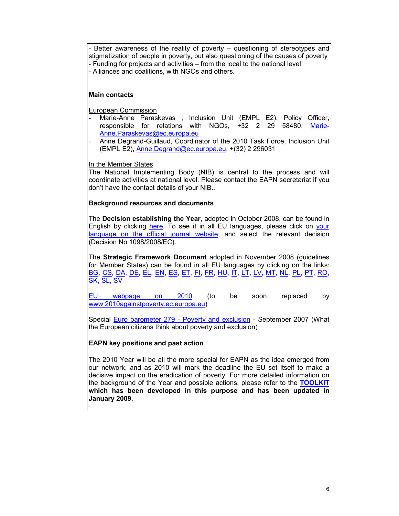Better awareness of the reality of poverty - questioning of stereotypes and stigmatization of people in poverty, but also questioning of the causes of poverty - Funding for projects and activities – from the local to the national level - Alliances and coalitions, with NGOs and others.

# **Main contacts**

European Commission

- Marie-Anne Paraskevas , Inclusion Unit (EMPL E2), Policy Officer, responsible for relations with NGOs, +32 2 29 58480, Marie-Anne.Paraskevas@ec.europa.eu
- Anne Degrand-Guillaud, Coordinator of the 2010 Task Force, Inclusion Unit (EMPL E2), Anne.Degrand@ec.europa.eu, +(32) 2 296031

In the Member States

The National Implementing Body (NIB) is central to the process and will coordinate activities at national level. Please contact the EAPN secretariat if you don't have the contact details of your NIB.*.* 

# **Background resources and documents**

The **Decision establishing the Year**, adopted in October 2008, can be found in English by clicking here. To see it in all EU languages, please click on your language on the official journal website, and select the relevant decision (Decision No 1098/2008/EC).

The **Strategic Framework Document** adopted in November 2008 (guidelines for Member States) can be found in all EU languages by clicking on the links: BG, CS, DA, DE, EL, EN, ES, ET, FI, FR, HU, IT, LT, LV, MT, NL, PL, PT, RO, SK, SL, SV

EU webpage on 2010 (to be soon replaced by www.2010againstpoverty.ec.europa.eu)

Special Euro barometer 279 - Poverty and exclusion - September 2007 (What the European citizens think about poverty and exclusion)

# **EAPN key positions and past action**

The 2010 Year will be all the more special for EAPN as the idea emerged from our network, and as 2010 will mark the deadline the EU set itself to make a decisive impact on the eradication of poverty. For more detailed information on the background of the Year and possible actions, please refer to the **TOOLKIT which has been developed in this purpose and has been updated in January 2009**.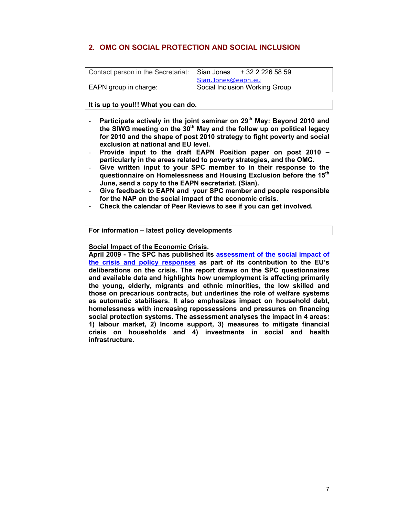# **2. OMC ON SOCIAL PROTECTION AND SOCIAL INCLUSION**

| Contact person in the Secretariat: | Sian Jones                     | + 32 2 226 58 59 |
|------------------------------------|--------------------------------|------------------|
|                                    | Sian.Jones@eapn.eu             |                  |
| EAPN group in charge:              | Social Inclusion Working Group |                  |

# **It is up to you!!! What you can do.**

- **Participate actively in the joint seminar on 29th May: Beyond 2010 and the SIWG meeting on the 30th May and the follow up on political legacy for 2010 and the shape of post 2010 strategy to fight poverty and social exclusion at national and EU level.**
- **Provide input to the draft EAPN Position paper on post 2010 particularly in the areas related to poverty strategies, and the OMC.**
- **Give written input to your SPC member to in their response to the questionnaire on Homelessness and Housing Exclusion before the 15th June, send a copy to the EAPN secretariat. (Sian).**
- **Give feedback to EAPN and your SPC member and people responsible for the NAP on the social impact of the economic crisis**.
- **Check the calendar of Peer Reviews to see if you can get involved.**

**For information – latest policy developments** 

**Social Impact of the Economic Crisis.** 

**April 2009 - The SPC has published its assessment of the social impact of the crisis and policy responses as part of its contribution to the EU's deliberations on the crisis. The report draws on the SPC questionnaires and available data and highlights how unemployment is affecting primarily the young, elderly, migrants and ethnic minorities, the low skilled and those on precarious contracts, but underlines the role of welfare systems as automatic stabilisers. It also emphasizes impact on household debt, homelessness with increasing repossessions and pressures on financing social protection systems. The assessment analyses the impact in 4 areas: 1) labour market, 2) Income support, 3) measures to mitigate financial crisis on households and 4) investments in social and health infrastructure.**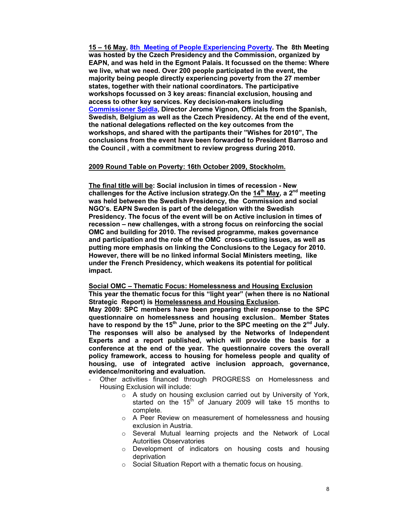**15 – 16 May, 8th Meeting of People Experiencing Poverty. The 8th Meeting was hosted by the Czech Presidency and the Commission, organized by EAPN, and was held in the Egmont Palais. It focussed on the theme: Where we live, what we need. Over 200 people participated in the event, the majority being people directly experiencing poverty from the 27 member states, together with their national coordinators. The participative workshops focussed on 3 key areas: financial exclusion, housing and access to other key services. Key decision-makers including Commissioner Spidla, Director Jerome Vignon, Officials from the Spanish, Swedish, Belgium as well as the Czech Presidency. At the end of the event, the national delegations reflected on the key outcomes from the workshops, and shared with the partipants their "Wishes for 2010", The conclusions from the event have been forwarded to President Barroso and the Council , with a commitment to review progress during 2010.** 

#### **2009 Round Table on Poverty: 16th October 2009, Stockholm.**

**The final title will be: Social inclusion in times of recession - New challenges for the Active inclusion strategy.On the 14th May, a 2nd meeting was held between the Swedish Presidency, the Commission and social NGO's. EAPN Sweden is part of the delegation with the Swedish Presidency. The focus of the event will be on Active inclusion in times of recession – new challenges, with a strong focus on reinforcing the social OMC and building for 2010. The revised programme, makes governance and participation and the role of the OMC cross-cutting issues, as well as putting more emphasis on linking the Conclusions to the Legacy for 2010. However, there will be no linked informal Social Ministers meeting, like under the French Presidency, which weakens its potential for political impact.** 

**Social OMC – Thematic Focus: Homelessness and Housing Exclusion This year the thematic focus for this "light year" (when there is no National Strategic Report) is Homelessness and Housing Exclusion.** 

**May 2009: SPC members have been preparing their response to the SPC questionnaire on homelessness and housing exclusion.**. **Member States have to respond by the 15th June, prior to the SPC meeting on the 2nd July. The responses will also be analysed by the Networks of Independent Experts and a report published, which will provide the basis for a conference at the end of the year. The questionnaire covers the overall policy framework, access to housing for homeless people and quality of housing, use of integrated active inclusion approach, governance, evidence/monitoring and evaluation.** 

- Other activities financed through PROGRESS on Homelessness and Housing Exclusion will include:
	- o A study on housing exclusion carried out by University of York, started on the  $15<sup>th</sup>$  of January 2009 will take 15 months to complete.
	- o A Peer Review on measurement of homelessness and housing exclusion in Austria.
	- o Several Mutual learning projects and the Network of Local Autorities Observatories
	- o Development of indicators on housing costs and housing deprivation
	- o Social Situation Report with a thematic focus on housing.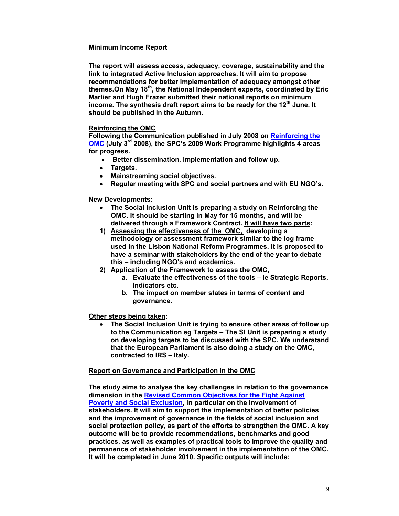# **Minimum Income Report**

**The report will assess access, adequacy, coverage, sustainability and the link to integrated Active Inclusion approaches. It will aim to propose recommendations for better implementation of adequacy amongst other themes.On May 18th, the National Independent experts, coordinated by Eric Marlier and Hugh Frazer submitted their national reports on minimum income. The synthesis draft report aims to be ready for the 12th June. It should be published in the Autumn.** 

# **Reinforcing the OMC**

**Following the Communication published in July 2008 on Reinforcing the OMC (July 3rd 2008), the SPC's 2009 Work Programme highlights 4 areas for progress.** 

- **Better dissemination, implementation and follow up.**
- **Targets.**
- **Mainstreaming social objectives.**
- **Regular meeting with SPC and social partners and with EU NGO's.**

#### **New Developments:**

- **The Social Inclusion Unit is preparing a study on Reinforcing the OMC. It should be starting in May for 15 months, and will be delivered through a Framework Contract. It will have two parts:**
- **1) Assessing the effectiveness of the OMC, developing a methodology or assessment framework similar to the log frame used in the Lisbon National Reform Programmes. It is proposed to have a seminar with stakeholders by the end of the year to debate this – including NGO's and academics.**
- **2) Application of the Framework to assess the OMC,** 
	- **a. Evaluate the effectiveness of the tools ie Strategic Reports, Indicators etc.**
	- **b. The impact on member states in terms of content and governance.**

#### **Other steps being taken:**

• **The Social Inclusion Unit is trying to ensure other areas of follow up to the Communication eg Targets – The SI Unit is preparing a study on developing targets to be discussed with the SPC. We understand that the European Parliament is also doing a study on the OMC, contracted to IRS – Italy.** 

#### **Report on Governance and Participation in the OMC**

**The study aims to analyse the key challenges in relation to the governance dimension in the Revised Common Objectives for the Fight Against Poverty and Social Exclusion, in particular on the involvement of stakeholders. It will aim to support the implementation of better policies and the improvement of governance in the fields of social inclusion and social protection policy, as part of the efforts to strengthen the OMC. A key outcome will be to provide recommendations, benchmarks and good practices, as well as examples of practical tools to improve the quality and permanence of stakeholder involvement in the implementation of the OMC. It will be completed in June 2010. Specific outputs will include:**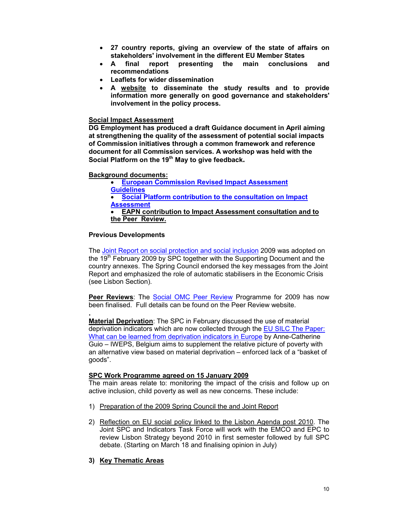- **27 country reports, giving an overview of the state of affairs on stakeholders' involvement in the different EU Member States**
- **A final report presenting the main conclusions and recommendations**
- **Leaflets for wider dissemination**
- **A website to disseminate the study results and to provide information more generally on good governance and stakeholders' involvement in the policy process.**

#### **Social Impact Assessment**

**DG Employment has produced a draft Guidance document in April aiming at strengthening the quality of the assessment of potential social impacts of Commission initiatives through a common framework and reference document for all Commission services. A workshop was held with the Social Platform on the 19th May to give feedback.** 

#### **Background documents:**

• **European Commission Revised Impact Assessment Guidelines** • **Social Platform contribution to the consultation on Impact Assessment** • **EAPN contribution to Impact Assessment consultation and to** 

**the Peer Review.** 

#### **Previous Developments**

**.**

The Joint Report on social protection and social inclusion 2009 was adopted on the 19<sup>th</sup> February 2009 by SPC together with the Supporting Document and the country annexes. The Spring Council endorsed the key messages from the Joint Report and emphasized the role of automatic stabilisers in the Economic Crisis (see Lisbon Section).

**Peer Reviews**: The Social OMC Peer Review Programme for 2009 has now been finalised. Full details can be found on the Peer Review website.

**Material Deprivation**: The SPC in February discussed the use of material deprivation indicators which are now collected through the EU SILC The Paper: What can be learned from deprivation indicators in Europe by Anne-Catherine Guio – IWEPS, Belgium aims to supplement the relative picture of poverty with an alternative view based on material deprivation – enforced lack of a "basket of goods".

#### **SPC Work Programme agreed on 15 January 2009**

The main areas relate to: monitoring the impact of the crisis and follow up on active inclusion, child poverty as well as new concerns. These include:

- 1) Preparation of the 2009 Spring Council the and Joint Report
- 2) Reflection on EU social policy linked to the Lisbon Agenda post 2010. The Joint SPC and Indicators Task Force will work with the EMCO and EPC to review Lisbon Strategy beyond 2010 in first semester followed by full SPC debate. (Starting on March 18 and finalising opinion in July)

# **3) Key Thematic Areas**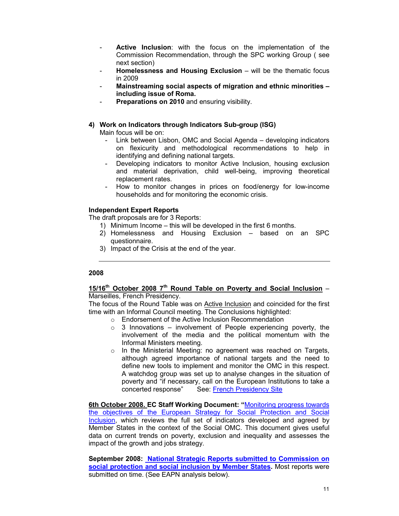- Active Inclusion: with the focus on the implementation of the Commission Recommendation, through the SPC working Group ( see next section)
- **Homelessness and Housing Exclusion** will be the thematic focus in 2009
- **Mainstreaming social aspects of migration and ethnic minorities including issue of Roma.**
- **Preparations on 2010** and ensuring visibility.

### **4) Work on Indicators through Indicators Sub-group (ISG)**

Main focus will be on:

- Link between Lisbon, OMC and Social Agenda developing indicators on flexicurity and methodological recommendations to help in identifying and defining national targets.
- Developing indicators to monitor Active Inclusion, housing exclusion and material deprivation, child well-being, improving theoretical replacement rates.
- How to monitor changes in prices on food/energy for low-income households and for monitoring the economic crisis.

#### **Independent Expert Reports**

The draft proposals are for 3 Reports:

- 1) Minimum Income this will be developed in the first 6 months.
- 2) Homelessness and Housing Exclusion based on an SPC questionnaire.
- 3) Impact of the Crisis at the end of the year.

# **2008**

#### **15/16th October 2008 7th Round Table on Poverty and Social Inclusion** – Marseilles, French Presidency.

The focus of the Round Table was on Active Inclusion and coincided for the first time with an Informal Council meeting. The Conclusions highlighted:

- o Endorsement of the Active Inclusion Recommendation
- $\circ$  3 Innovations involvement of People experiencing poverty, the involvement of the media and the political momentum with the Informal Ministers meeting.
- o In the Ministerial Meeting: no agreement was reached on Targets, although agreed importance of national targets and the need to define new tools to implement and monitor the OMC in this respect. A watchdog group was set up to analyse changes in the situation of poverty and "if necessary, call on the European Institutions to take a concerted response" See: French Presidency Site

**6th October 2008. EC Staff Working Document: "**Monitoring progress towards the objectives of the European Strategy for Social Protection and Social Inclusion, which reviews the full set of indicators developed and agreed by Member States in the context of the Social OMC. This document gives useful data on current trends on poverty, exclusion and inequality and assesses the impact of the growth and jobs strategy.

**September 2008: National Strategic Reports submitted to Commission on social protection and social inclusion by Member States.** Most reports were submitted on time. (See EAPN analysis below).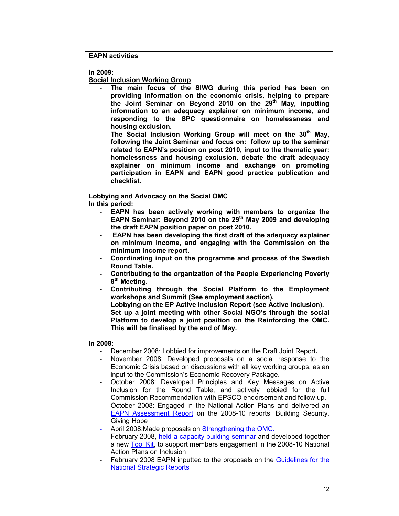#### **EAPN activities**

#### **In 2009:**

**Social Inclusion Working Group**

- The main focus of the SIWG during this period has been on **providing information on the economic crisis, helping to prepare the Joint Seminar on Beyond 2010 on the 29th May, inputting information to an adequacy explainer on minimum income, and responding to the SPC questionnaire on homelessness and housing exclusion.**
- **The Social Inclusion Working Group will meet on the 30th May, following the Joint Seminar and focus on: follow up to the seminar related to EAPN's position on post 2010, input to the thematic year: homelessness and housing exclusion, debate the draft adequacy explainer on minimum income and exchange on promoting participation in EAPN and EAPN good practice publication and checklist..**

# **Lobbying and Advocacy on the Social OMC**

**In this period:**

- **EAPN** has been actively working with members to organize the **EAPN Seminar: Beyond 2010 on the 29th May 2009 and developing the draft EAPN position paper on post 2010.**
- **EAPN has been developing the first draft of the adequacy explainer on minimum income, and engaging with the Commission on the minimum income report.**
- **Coordinating input on the programme and process of the Swedish Round Table.**
- **Contributing to the organization of the People Experiencing Poverty 8 th Meeting.**
- **Contributing through the Social Platform to the Employment workshops and Summit (See employment section).**
- **Lobbying on the EP Active Inclusion Report (see Active Inclusion).**
- Set up a joint meeting with other Social NGO's through the social **Platform to develop a joint position on the Reinforcing the OMC. This will be finalised by the end of May.**

#### **In 2008:**

- December 2008: Lobbied for improvements on the Draft Joint Report**.**
- November 2008: Developed proposals on a social response to the Economic Crisis based on discussions with all key working groups, as an input to the Commission's Economic Recovery Package.
- October 2008: Developed Principles and Key Messages on Active Inclusion for the Round Table, and actively lobbied for the full Commission Recommendation with EPSCO endorsement and follow up.
- October 2008: Engaged in the National Action Plans and delivered an EAPN Assessment Report on the 2008-10 reports: Building Security, Giving Hope
- April 2008: Made proposals on Strengthening the OMC.
- February 2008, held a capacity building seminar and developed together a new Tool Kit, to support members engagement in the 2008-10 National Action Plans on Inclusion
- February 2008 EAPN inputted to the proposals on the Guidelines for the National Strategic Reports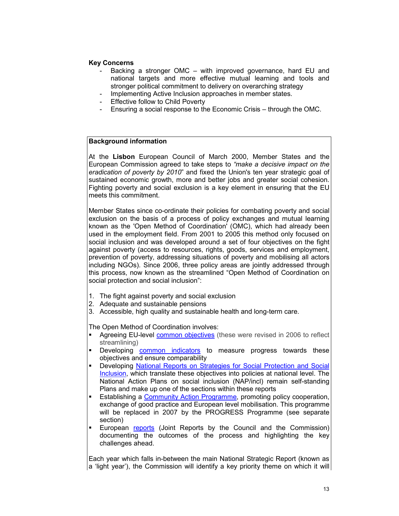# **Key Concerns**

- Backing a stronger OMC with improved governance, hard EU and national targets and more effective mutual learning and tools and stronger political commitment to delivery on overarching strategy
- Implementing Active Inclusion approaches in member states.
- Effective follow to Child Poverty
- Ensuring a social response to the Economic Crisis through the OMC.

# **Background information**

At the **Lisbon** European Council of March 2000, Member States and the European Commission agreed to take steps to *"make a decisive impact on the eradication of poverty by 2010*" and fixed the Union's ten year strategic goal of sustained economic growth, more and better jobs and greater social cohesion. Fighting poverty and social exclusion is a key element in ensuring that the EU meets this commitment.

Member States since co-ordinate their policies for combating poverty and social exclusion on the basis of a process of policy exchanges and mutual learning known as the 'Open Method of Coordination' (OMC), which had already been used in the employment field. From 2001 to 2005 this method only focused on social inclusion and was developed around a set of four objectives on the fight against poverty (access to resources, rights, goods, services and employment, prevention of poverty, addressing situations of poverty and mobilising all actors including NGOs). Since 2006, three policy areas are jointly addressed through this process, now known as the streamlined "Open Method of Coordination on social protection and social inclusion":

- 1. The fight against poverty and social exclusion
- 2. Adequate and sustainable pensions
- 3. Accessible, high quality and sustainable health and long-term care.

The Open Method of Coordination involves:

- Agreeing EU-level common objectives (these were revised in 2006 to reflect streamlining)
- **Developing common indicators to measure progress towards these** objectives and ensure comparability
- Developing National Reports on Strategies for Social Protection and Social Inclusion, which translate these objectives into policies at national level. The National Action Plans on social inclusion (NAP/incl) remain self-standing Plans and make up one of the sections within these reports
- Establishing a Community Action Programme, promoting policy cooperation, exchange of good practice and European level mobilisation. This programme will be replaced in 2007 by the PROGRESS Programme (see separate section)
- European reports (Joint Reports by the Council and the Commission) documenting the outcomes of the process and highlighting the key challenges ahead.

Each year which falls in-between the main National Strategic Report (known as a 'light year'), the Commission will identify a key priority theme on which it will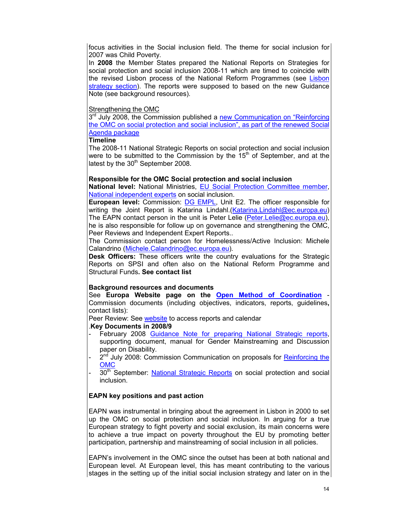focus activities in the Social inclusion field. The theme for social inclusion for 2007 was Child Poverty.

In **2008** the Member States prepared the National Reports on Strategies for social protection and social inclusion 2008-11 which are timed to coincide with the revised Lisbon process of the National Reform Programmes (see Lisbon strategy section). The reports were supposed to based on the new Guidance Note (see background resources).

# Strengthening the OMC

3<sup>rd</sup> July 2008, the Commission published a new Communication on "Reinforcing the OMC on social protection and social inclusion", as part of the renewed Social Agenda package

# **Timeline**

The 2008-11 National Strategic Reports on social protection and social inclusion were to be submitted to the Commission by the  $15<sup>th</sup>$  of September, and at the latest by the  $30<sup>th</sup>$  September 2008.

# **Responsible for the OMC Social protection and social inclusion**

**National level:** National Ministries, EU Social Protection Committee member, National independent experts on social inclusion.

**European level:** Commission: DG EMPL, Unit E2. The officer responsible for writing the Joint Report is Katarina Lindahl. (Katarina. Lindahl@ec.europa.eu) The EAPN contact person in the unit is Peter Lelie (Peter.Lelie@ec.europa.eu), he is also responsible for follow up on governance and strengthening the OMC, Peer Reviews and Independent Expert Reports..

The Commission contact person for Homelessness/Active Inclusion: Michele Calandrino (Michele.Calandrino@ec.europa.eu).

**Desk Officers:** These officers write the country evaluations for the Strategic Reports on SPSI and often also on the National Reform Programme and Structural Funds**. See contact list**

# **Background resources and documents**

See **Europa Website page on the Open Method of Coordination** - Commission documents (including objectives, indicators, reports, guidelines**,** contact lists):

Peer Review: See website to access reports and calendar

# .**Key Documents in 2008/9**

- February 2008 Guidance Note for preparing National Strategic reports, supporting document, manual for Gender Mainstreaming and Discussion paper on Disability.
- 2<sup>nd</sup> July 2008: Commission Communication on proposals for **Reinforcing the** OMC
- 30<sup>th</sup> September: National Strategic Reports on social protection and social inclusion.

# **EAPN key positions and past action**

EAPN was instrumental in bringing about the agreement in Lisbon in 2000 to set up the OMC on social protection and social inclusion. In arguing for a true European strategy to fight poverty and social exclusion, its main concerns were to achieve a true impact on poverty throughout the EU by promoting better participation, partnership and mainstreaming of social inclusion in all policies.

EAPN's involvement in the OMC since the outset has been at both national and European level. At European level, this has meant contributing to the various stages in the setting up of the initial social inclusion strategy and later on in the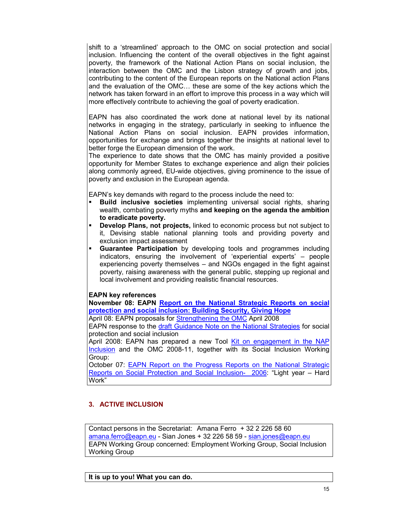shift to a 'streamlined' approach to the OMC on social protection and social inclusion. Influencing the content of the overall objectives in the fight against poverty, the framework of the National Action Plans on social inclusion, the interaction between the OMC and the Lisbon strategy of growth and jobs, contributing to the content of the European reports on the National action Plans and the evaluation of the OMC… these are some of the key actions which the network has taken forward in an effort to improve this process in a way which will more effectively contribute to achieving the goal of poverty eradication.

EAPN has also coordinated the work done at national level by its national networks in engaging in the strategy, particularly in seeking to influence the National Action Plans on social inclusion. EAPN provides information, opportunities for exchange and brings together the insights at national level to better forge the European dimension of the work.

The experience to date shows that the OMC has mainly provided a positive opportunity for Member States to exchange experience and align their policies along commonly agreed, EU-wide objectives, giving prominence to the issue of poverty and exclusion in the European agenda.

EAPN's key demands with regard to the process include the need to:

- **Build inclusive societies** implementing universal social rights, sharing wealth, combating poverty myths **and keeping on the agenda the ambition to eradicate poverty.**
- **Develop Plans, not projects,** linked to economic process but not subject to it, Devising stable national planning tools and providing poverty and exclusion impact assessment
- **Guarantee Participation** by developing tools and programmes including indicators, ensuring the involvement of 'experiential experts' – people experiencing poverty themselves – and NGOs engaged in the fight against poverty, raising awareness with the general public, stepping up regional and local involvement and providing realistic financial resources.

# **EAPN key references**

**November 08: EAPN Report on the National Strategic Reports on social protection and social inclusion: Building Security, Giving Hope** April 08: EAPN proposals for Strengthening the OMC April 2008

EAPN response to the draft Guidance Note on the National Strategies for social protection and social inclusion

April 2008: EAPN has prepared a new Tool Kit on engagement in the NAP Inclusion and the OMC 2008-11, together with its Social Inclusion Working Group:

October 07: **EAPN Report on the Progress Reports on the National Strategic** Reports on Social Protection and Social Inclusion- 2006: "Light year – Hard Work"

# **3. ACTIVE INCLUSION**

Contact persons in the Secretariat: Amana Ferro + 32 2 226 58 60 amana.ferro@eapn.eu - Sian Jones + 32 226 58 59 - sian.jones@eapn.eu EAPN Working Group concerned: Employment Working Group, Social Inclusion Working Group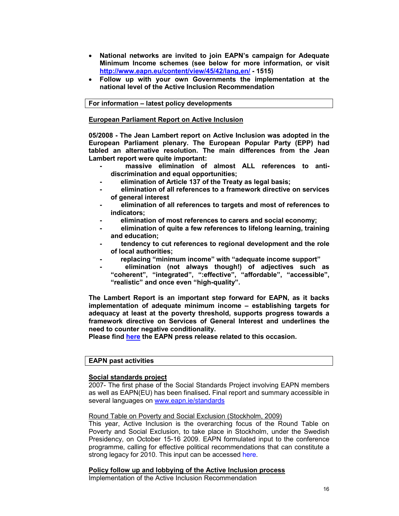- **National networks are invited to join EAPN's campaign for Adequate Minimum Income schemes (see below for more information, or visit http://www.eapn.eu/content/view/45/42/lang,en/ - 1515)**
- **Follow up with your own Governments the implementation at the national level of the Active Inclusion Recommendation**

**For information – latest policy developments** 

#### **European Parliament Report on Active Inclusion**

**05/2008 - The Jean Lambert report on Active Inclusion was adopted in the European Parliament plenary. The European Popular Party (EPP) had tabled an alternative resolution. The main differences from the Jean Lambert report were quite important:** 

- massive elimination of almost ALL references to anti**discrimination and equal opportunities;**
- **elimination of Article 137 of the Treaty as legal basis;**
- **elimination of all references to a framework directive on services of general interest**
- **elimination of all references to targets and most of references to indicators;**
- **elimination of most references to carers and social economy;**
- **elimination of quite a few references to lifelong learning, training and education;**
- **tendency to cut references to regional development and the role of local authorities;**
- **replacing "minimum income" with "adequate income support"**
- **elimination (not always though!) of adjectives such as "coherent", "integrated", ":effective", "affordable", "accessible", "realistic" and once even "high-quality".**

**The Lambert Report is an important step forward for EAPN, as it backs implementation of adequate minimum income – establishing targets for adequacy at least at the poverty threshold, supports progress towards a framework directive on Services of General Interest and underlines the need to counter negative conditionality.** 

**Please find here the EAPN press release related to this occasion.** 

#### **EAPN past activities**

#### **Social standards project**

2007- The first phase of the Social Standards Project involving EAPN members as well as EAPN(EU) has been finalised**.** Final report and summary accessible in several languages on www.eapn.ie/standards

Round Table on Poverty and Social Exclusion (Stockholm, 2009)

This year, Active Inclusion is the overarching focus of the Round Table on Poverty and Social Exclusion, to take place in Stockholm, under the Swedish Presidency, on October 15-16 2009. EAPN formulated input to the conference programme, calling for effective political recommendations that can constitute a strong legacy for 2010. This input can be accessed here.

#### **Policy follow up and lobbying of the Active Inclusion process**

Implementation of the Active Inclusion Recommendation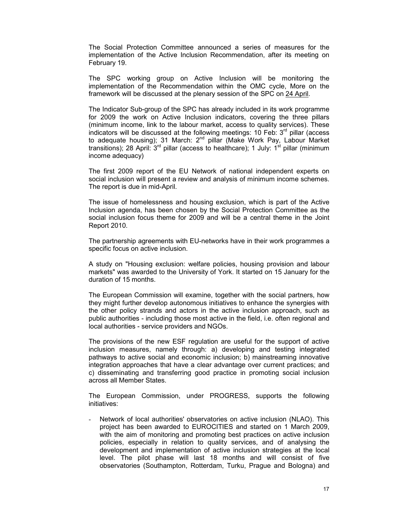The Social Protection Committee announced a series of measures for the implementation of the Active Inclusion Recommendation, after its meeting on February 19.

The SPC working group on Active Inclusion will be monitoring the implementation of the Recommendation within the OMC cycle, More on the framework will be discussed at the plenary session of the SPC on 24 April.

The Indicator Sub-group of the SPC has already included in its work programme for 2009 the work on Active Inclusion indicators, covering the three pillars (minimum income, link to the labour market, access to quality services). These indicators will be discussed at the following meetings: 10 Feb:  $3<sup>rd</sup>$  pillar (access to adequate housing); 31 March: 2<sup>nd</sup> pillar (Make Work Pay, Labour Market transitions); 28 April:  $3^{rd}$  pillar (access to healthcare); 1 July:  $1^{st}$  pillar (minimum income adequacy)

The first 2009 report of the EU Network of national independent experts on social inclusion will present a review and analysis of minimum income schemes. The report is due in mid-April.

The issue of homelessness and housing exclusion, which is part of the Active Inclusion agenda, has been chosen by the Social Protection Committee as the social inclusion focus theme for 2009 and will be a central theme in the Joint Report 2010.

The partnership agreements with EU-networks have in their work programmes a specific focus on active inclusion.

A study on "Housing exclusion: welfare policies, housing provision and labour markets" was awarded to the University of York. It started on 15 January for the duration of 15 months.

The European Commission will examine, together with the social partners, how they might further develop autonomous initiatives to enhance the synergies with the other policy strands and actors in the active inclusion approach, such as public authorities - including those most active in the field, i.e. often regional and local authorities - service providers and NGOs.

The provisions of the new ESF regulation are useful for the support of active inclusion measures, namely through: a) developing and testing integrated pathways to active social and economic inclusion; b) mainstreaming innovative integration approaches that have a clear advantage over current practices; and c) disseminating and transferring good practice in promoting social inclusion across all Member States.

The European Commission, under PROGRESS, supports the following initiatives:

Network of local authorities' observatories on active inclusion (NLAO). This project has been awarded to EUROCITIES and started on 1 March 2009, with the aim of monitoring and promoting best practices on active inclusion policies, especially in relation to quality services, and of analysing the development and implementation of active inclusion strategies at the local level. The pilot phase will last 18 months and will consist of five observatories (Southampton, Rotterdam, Turku, Prague and Bologna) and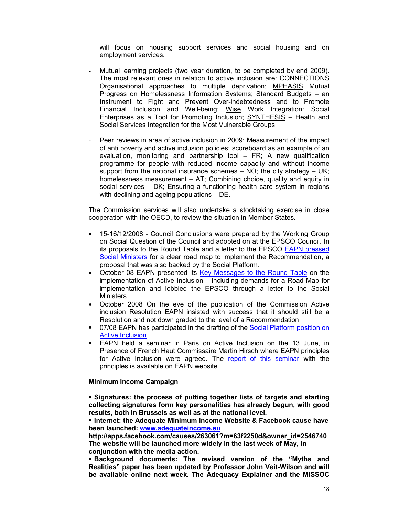will focus on housing support services and social housing and on employment services.

- Mutual learning projects (two year duration, to be completed by end 2009). The most relevant ones in relation to active inclusion are: CONNECTIONS Organisational approaches to multiple deprivation; MPHASIS Mutual Progress on Homelessness Information Systems; Standard Budgets – an Instrument to Fight and Prevent Over-indebtedness and to Promote Financial Inclusion and Well-being; Wise Work Integration: Social Enterprises as a Tool for Promoting Inclusion; SYNTHESIS – Health and Social Services Integration for the Most Vulnerable Groups
- Peer reviews in area of active inclusion in 2009: Measurement of the impact of anti poverty and active inclusion policies: scoreboard as an example of an evaluation, monitoring and partnership tool – FR; A new qualification programme for people with reduced income capacity and without income support from the national insurance schemes  $-$  NO; the city strategy  $-$  UK; homelessness measurement – AT; Combining choice, quality and equity in social services – DK; Ensuring a functioning health care system in regions with declining and ageing populations – DE.

The Commission services will also undertake a stocktaking exercise in close cooperation with the OECD, to review the situation in Member States.

- 15-16/12/2008 Council Conclusions were prepared by the Working Group on Social Question of the Council and adopted on at the EPSCO Council. In its proposals to the Round Table and a letter to the EPSCO EAPN pressed Social Ministers for a clear road map to implement the Recommendation, a proposal that was also backed by the Social Platform.
- October 08 EAPN presented its Key Messages to the Round Table on the implementation of Active Inclusion – including demands for a Road Map for implementation and lobbied the EPSCO through a letter to the Social **Ministers**
- October 2008 On the eve of the publication of the Commission Active inclusion Resolution EAPN insisted with success that it should still be a Resolution and not down graded to the level of a Recommendation
- 07/08 EAPN has participated in the drafting of the Social Platform position on Active Inclusion
- EAPN held a seminar in Paris on Active Inclusion on the 13 June, in Presence of French Haut Commissaire Martin Hirsch where EAPN principles for Active Inclusion were agreed. The report of this seminar with the principles is available on EAPN website.

#### **Minimum Income Campaign**

 **Signatures: the process of putting together lists of targets and starting collecting signatures form key personalities has already begun, with good results, both in Brussels as well as at the national level.** 

 **Internet: the Adequate Minimum Income Website & Facebook cause have been launched: www.adequateincome.eu**

**http://apps.facebook.com/causes/263061?m=63f2250d&owner\_id=2546740 The website will be launched more widely in the last week of May, in conjunction with the media action.** 

 **Background documents: The revised version of the "Myths and Realities" paper has been updated by Professor John Veit-Wilson and will be available online next week. The Adequacy Explainer and the MISSOC**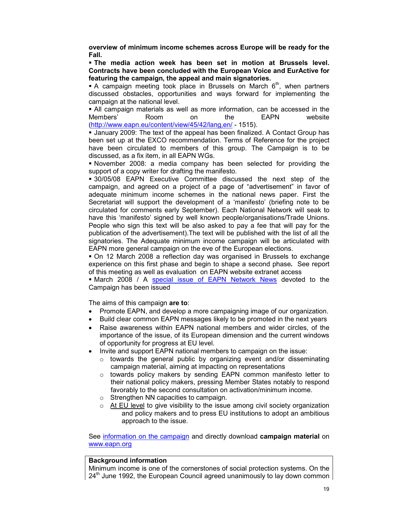**overview of minimum income schemes across Europe will be ready for the Fall.** 

 **The media action week has been set in motion at Brussels level. Contracts have been concluded with the European Voice and EurActive for featuring the campaign, the appeal and main signatories.** 

A campaign meeting took place in Brussels on March  $6<sup>th</sup>$ , when partners discussed obstacles, opportunities and ways forward for implementing the campaign at the national level.

 All campaign materials as well as more information, can be accessed in the Members' Room on the EAPN website (http://www.eapn.eu/content/view/45/42/lang,en/ - 1515).

 January 2009: The text of the appeal has been finalized. A Contact Group has been set up at the EXCO recommendation. Terms of Reference for the project have been circulated to members of this group. The Campaign is to be discussed, as a fix item, in all EAPN WGs.

 November 2008: a media company has been selected for providing the support of a copy writer for drafting the manifesto.

 30/05/08 EAPN Executive Committee discussed the next step of the campaign, and agreed on a project of a page of "advertisement" in favor of adequate minimum income schemes in the national news paper. First the Secretariat will support the development of a 'manifesto' (briefing note to be circulated for comments early September). Each National Network will seak to have this 'manifesto' signed by well known people/organisations/Trade Unions. People who sign this text will be also asked to pay a fee that will pay for the publication of the advertisement).The text will be published with the list of all the signatories. The Adequate minimum income campaign will be articulated with EAPN more general campaign on the eve of the European elections.

 On 12 March 2008 a reflection day was organised in Brussels to exchange experience on this first phase and begin to shape a second phase**.** See report of this meeting as well as evaluation on EAPN website extranet access

• March 2008 / A special issue of EAPN Network News devoted to the Campaign has been issued

The aims of this campaign **are to**:

- Promote EAPN, and develop a more campaigning image of our organization.
- Build clear common EAPN messages likely to be promoted in the next years
- Raise awareness within EAPN national members and wider circles, of the importance of the issue, of its European dimension and the current windows of opportunity for progress at EU level.
- Invite and support EAPN national members to campaign on the issue:
	- $\circ$  towards the general public by organizing event and/or disseminating campaign material, aiming at impacting on representations
	- $\circ$  towards policy makers by sending EAPN common manifesto letter to their national policy makers, pressing Member States notably to respond favorably to the second consultation on activation/minimum income.
	- o Strengthen NN capacities to campaign.
	- $\circ$  At EU level to give visibility to the issue among civil society organization and policy makers and to press EU institutions to adopt an ambitious approach to the issue.

See information on the campaign and directly download **campaign material** on www.eapn.org

#### **Background information**

Minimum income is one of the cornerstones of social protection systems. On the  $24<sup>th</sup>$  June 1992, the European Council agreed unanimously to lay down common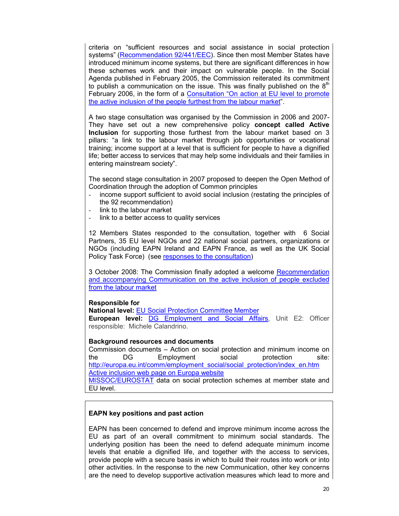criteria on "sufficient resources and social assistance in social protection systems" (Recommendation 92/441/EEC). Since then most Member States have introduced minimum income systems, but there are significant differences in how these schemes work and their impact on vulnerable people. In the Social Agenda published in February 2005, the Commission reiterated its commitment to publish a communication on the issue. This was finally published on the  $8<sup>th</sup>$ February 2006, in the form of a Consultation "On action at EU level to promote the active inclusion of the people furthest from the labour market".

A two stage consultation was organised by the Commission in 2006 and 2007- They have set out a new comprehensive policy **concept called Active Inclusion** for supporting those furthest from the labour market based on 3 pillars: "a link to the labour market through job opportunities or vocational training; income support at a level that is sufficient for people to have a dignified life; better access to services that may help some individuals and their families in entering mainstream society".

The second stage consultation in 2007 proposed to deepen the Open Method of Coordination through the adoption of Common principles

- income support sufficient to avoid social inclusion (restating the principles of the 92 recommendation)
- link to the labour market
- link to a better access to quality services

12 Members States responded to the consultation, together with 6 Social Partners, 35 EU level NGOs and 22 national social partners, organizations or NGOs (including EAPN Ireland and EAPN France, as well as the UK Social Policy Task Force) (see responses to the consultation)

3 October 2008: The Commission finally adopted a welcome Recommendation and accompanying Communication on the active inclusion of people excluded from the labour market

#### **Responsible for**

**National level:** EU Social Protection Committee Member **European level:** DG Employment and Social Affairs, Unit E2: Officer

# responsible: Michele Calandrino.

# **Background resources and documents**

Commission documents – Action on social protection and minimum income on the DG Employment social protection site: http://europa.eu.int/comm/employment\_social/social\_protection/index\_en.htm Active inclusion web page on Europa website

MISSOC/EUROSTAT data on social protection schemes at member state and EU level.

# **EAPN key positions and past action**

EAPN has been concerned to defend and improve minimum income across the EU as part of an overall commitment to minimum social standards. The underlying position has been the need to defend adequate minimum income levels that enable a dignified life, and together with the access to services, provide people with a secure basis in which to build their routes into work or into other activities. In the response to the new Communication, other key concerns are the need to develop supportive activation measures which lead to more and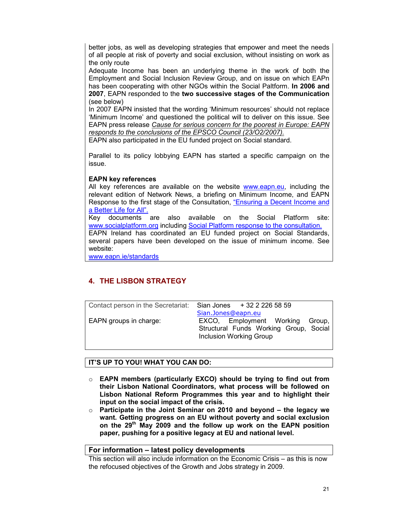better jobs, as well as developing strategies that empower and meet the needs of all people at risk of poverty and social exclusion, without insisting on work as the only route

Adequate Income has been an underlying theme in the work of both the Employment and Social Inclusion Review Group, and on issue on which EAPn has been cooperating with other NGOs within the Social Paltform. **In 2006 and 2007**, EAPN responded to the **two successive stages of the Communication** (see below)

In 2007 EAPN insisted that the wording 'Minimum resources' should not replace 'Minimum Income' and questioned the political will to deliver on this issue. See EAPN press release *Cause for serious concern for the poorest in Europe: EAPN responds to the conclusions of the EPSCO Council (23/O2/2007).*

EAPN also participated in the EU funded project on Social standard.

Parallel to its policy lobbying EAPN has started a specific campaign on the issue.

# **EAPN key references**

All key references are available on the website www.eapn.eu, including the relevant edition of Network News, a briefing on Minimum Income, and EAPN Response to the first stage of the Consultation, "Ensuring a Decent Income and a Better Life for All".

Key documents are also available on the Social Platform site: www.socialplatform.org including Social Platform response to the consultation. EAPN Ireland has coordinated an EU funded project on Social Standards, several papers have been developed on the issue of minimum income. See

website: www.eapn.ie/standards

# **4. THE LISBON STRATEGY**

Contact person in the Secretariat: Sian Jones + 32 2 226 58 59

 Sian.Jones@eapn.eu EAPN groups in charge: EXCO, Employment Working Group, Structural Funds Working Group, Social Inclusion Working Group

# **IT'S UP TO YOU! WHAT YOU CAN DO:**

- o **EAPN members (particularly EXCO) should be trying to find out from their Lisbon National Coordinators, what process will be followed on Lisbon National Reform Programmes this year and to highlight their input on the social impact of the crisis.**
- o **Participate in the Joint Seminar on 2010 and beyond the legacy we want. Getting progress on an EU without poverty and social exclusion on the 29th May 2009 and the follow up work on the EAPN position paper, pushing for a positive legacy at EU and national level.**

# **For information – latest policy developments**

This section will also include information on the Economic Crisis – as this is now the refocused objectives of the Growth and Jobs strategy in 2009.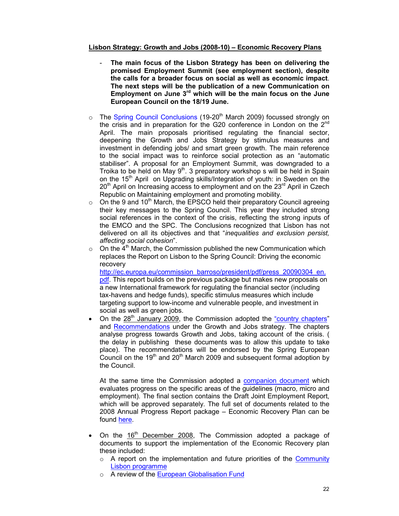# **Lisbon Strategy: Growth and Jobs (2008-10) – Economic Recovery Plans**

- The main focus of the Lisbon Strategy has been on delivering the **promised Employment Summit (see employment section), despite the calls for a broader focus on social as well as economic impact**. **The next steps will be the publication of a new Communication on Employment on June 3rd which will be the main focus on the June European Council on the 18/19 June.**
- $\circ$  The Spring Council Conclusions (19-20<sup>th</sup> March 2009) focussed strongly on the crisis and in preparation for the G20 conference in London on the 2<sup>nd</sup> April. The main proposals prioritised regulating the financial sector, deepening the Growth and Jobs Strategy by stimulus measures and investment in defending jobs/ and smart green growth. The main reference to the social impact was to reinforce social protection as an "automatic stabiliser". A proposal for an Employment Summit, was downgraded to a Troika to be held on May  $9<sup>th</sup>$ . 3 preparatory workshop s will be held in Spain on the 15<sup>th</sup> April on Upgrading skills/Integration of youth: in Sweden on the  $20<sup>th</sup>$  April on Increasing access to employment and on the  $23<sup>rd</sup>$  April in Czech Republic on Maintaining employment and promoting mobility.
- $\circ$  On the 9 and 10<sup>th</sup> March, the EPSCO held their preparatory Council agreeing their key messages to the Spring Council. This year they included strong social references in the context of the crisis, reflecting the strong inputs of the EMCO and the SPC. The Conclusions recognized that Lisbon has not delivered on all its objectives and that "*inequalities and exclusion persist, affecting social cohesion*".
- $\circ$  On the 4<sup>th</sup> March, the Commission published the new Communication which replaces the Report on Lisbon to the Spring Council: Driving the economic recovery

http://ec.europa.eu/commission\_barroso/president/pdf/press\_20090304\_en. pdf. This report builds on the previous package but makes new proposals on a new International framework for regulating the financial sector (including tax-havens and hedge funds), specific stimulus measures which include targeting support to low-income and vulnerable people, and investment in social as well as green jobs.

On the 28<sup>th</sup> January 2009, the Commission adopted the "country chapters" and Recommendations under the Growth and Jobs strategy. The chapters analyse progress towards Growth and Jobs, taking account of the crisis. ( the delay in publishing these documents was to allow this update to take place). The recommendations will be endorsed by the Spring European Council on the  $19<sup>th</sup>$  and  $20<sup>th</sup>$  March 2009 and subsequent formal adoption by the Council.

At the same time the Commission adopted a companion document which evaluates progress on the specific areas of the guidelines (macro, micro and employment). The final section contains the Draft Joint Employment Report, which will be approved separately. The full set of documents related to the 2008 Annual Progress Report package – Economic Recovery Plan can be found here.

- On the  $16<sup>th</sup>$  December 2008, The Commission adopted a package of documents to support the implementation of the Economic Recovery plan these included:
	- $\circ$  A report on the implementation and future priorities of the Community Lisbon programme
	- o A review of the European Globalisation Fund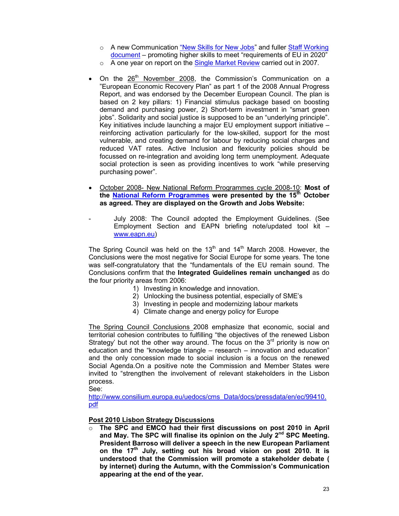- o A new Communication "New Skills for New Jobs" and fuller Staff Working document – promoting higher skills to meet "requirements of EU in 2020"
- o A one year on report on the Single Market Review carried out in 2007.
- On the  $26<sup>th</sup>$  November 2008, the Commission's Communication on a "European Economic Recovery Plan" as part 1 of the 2008 Annual Progress Report, and was endorsed by the December European Council. The plan is based on 2 key pillars: 1) Financial stimulus package based on boosting demand and purchasing power, 2) Short-term investment in "smart green jobs". Solidarity and social justice is supposed to be an "underlying principle". Key initiatives include launching a major EU employment support initiative – reinforcing activation particularly for the low-skilled, support for the most vulnerable, and creating demand for labour by reducing social charges and reduced VAT rates. Active Inclusion and flexicurity policies should be focussed on re-integration and avoiding long term unemployment. Adequate social protection is seen as providing incentives to work "while preserving purchasing power".
- October 2008- New National Reform Programmes cycle 2008-10: **Most of the National Reform Programmes were presented by the 15th October as agreed. They are displayed on the Growth and Jobs Website:**
- July 2008: The Council adopted the Employment Guidelines. (See Employment Section and EAPN briefing note/updated tool kit – www.eapn.eu)

The Spring Council was held on the  $13<sup>th</sup>$  and  $14<sup>th</sup>$  March 2008. However, the Conclusions were the most negative for Social Europe for some years. The tone was self-congratulatory that the "fundamentals of the EU remain sound. The Conclusions confirm that the **Integrated Guidelines remain unchanged** as do the four priority areas from 2006:

- 1) Investing in knowledge and innovation.
- 2) Unlocking the business potential, especially of SME's
- 3) Investing in people and modernizing labour markets
- 4) Climate change and energy policy for Europe

The Spring Council Conclusions 2008 emphasize that economic, social and territorial cohesion contributes to fulfilling "the objectives of the renewed Lisbon Strategy' but not the other way around. The focus on the  $3<sup>rd</sup>$  priority is now on education and the "knowledge triangle – research – innovation and education" and the only concession made to social inclusion is a focus on the renewed Social Agenda.On a positive note the Commission and Member States were invited to "strengthen the involvement of relevant stakeholders in the Lisbon process.

See:

http://www.consilium.europa.eu/uedocs/cms\_Data/docs/pressdata/en/ec/99410. pdf

**Post 2010 Lisbon Strategy Discussions**

o **The SPC and EMCO had their first discussions on post 2010 in April and May. The SPC will finalise its opinion on the July 2nd SPC Meeting. President Barroso will deliver a speech in the new European Parliament on the 17th July, setting out his broad vision on post 2010. It is understood that the Commission will promote a stakeholder debate ( by internet) during the Autumn, with the Commission's Communication appearing at the end of the year.**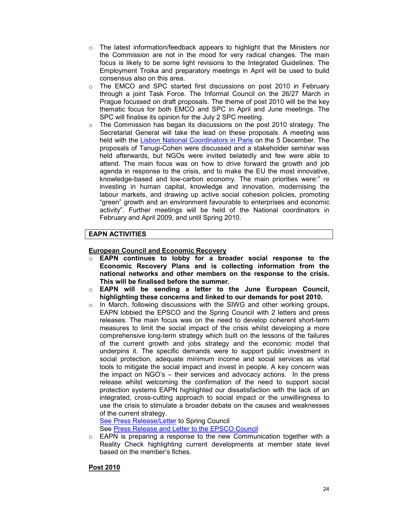- $\circ$  The latest information/feedback appears to highlight that the Ministers nor the Commission are not in the mood for very radical changes. The main focus is likely to be some light revisions to the Integrated Guidelines. The Employment Troika and preparatory meetings in April will be used to build consensus also on this area.
- o The EMCO and SPC started first discussions on post 2010 in February through a joint Task Force. The Informal Council on the 26/27 March in Prague focussed on draft proposals. The theme of post 2010 will be the key thematic focus for both EMCO and SPC in April and June meetings. The SPC will finalise its opinion for the July 2 SPC meeting.
- $\circ$  The Commission has began its discussions on the post 2010 strategy. The Secretariat General will take the lead on these proposals. A meeting was held with the Lisbon National Coordinators in Paris on the 5 December. The proposals of Tanugi-Cohen were discussed and a stakeholder seminar was held afterwards, but NGOs were invited belatedly and few were able to attend. The main focus was on how to drive forward the growth and job agenda in response to the crisis, and to make the EU the most innovative, knowledge-based and low-carbon economy. The main priorities were:" re investing in human capital, knowledge and innovation, modernising the labour markets, and drawing up active social cohesion policies, promoting "green" growth and an environment favourable to enterprises and economic activity". Further meetings will be held of the National coordinators in February and April 2009, and until Spring 2010.

# **EAPN ACTIVITIES**

# **European Council and Economic Recovery**

- EAPN continues to lobby for a broader social response to the **Economic Recovery Plans and is collecting information from the national networks and other members on the response to the crisis. This will be finalised before the summer.**
- o **EAPN will be sending a letter to the June European Council, highlighting these concerns and linked to our demands for post 2010.**
- o In March, following discussions with the SIWG and other working groups, EAPN lobbied the EPSCO and the Spring Council with 2 letters and press releases. The main focus was on the need to develop coherent short-term measures to limit the social impact of the crisis whilst developing a more comprehensive long-term strategy which built on the lessons of the failures of the current growth and jobs strategy and the economic model that underpins it. The specific demands were to support public investment in social protection, adequate minimum income and social services as vital tools to mitigate the social impact and invest in people. A key concern was the impact on NGO's – their services and advocacy actions. In the press release whilst welcoming the confirmation of the need to support social protection systems EAPN highlighted our dissatisfaction with the lack of an integrated, cross-cutting approach to social impact or the unwillingness to use the crisis to stimulate a broader debate on the causes and weaknesses of the current strategy.

See Press Release/Letter to Spring Council See Press Release and Letter to the EPSCO Council

o EAPN is preparing a response to the new Communication together with a Reality Check highlighting current developments at member state level based on the member's fiches.

# **Post 2010**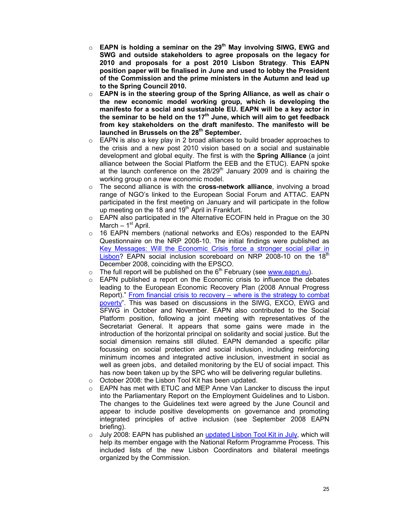- o **EAPN is holding a seminar on the 29th May involving SIWG, EWG and SWG and outside stakeholders to agree proposals on the legacy for 2010 and proposals for a post 2010 Lisbon Strategy**. **This EAPN position paper will be finalised in June and used to lobby the President of the Commission and the prime ministers in the Autumn and lead up to the Spring Council 2010.**
- o **EAPN is in the steering group of the Spring Alliance, as well as chair o the new economic model working group, which is developing the manifesto for a social and sustainable EU. EAPN will be a key actor in the seminar to be held on the 17th June, which will aim to get feedback from key stakeholders on the draft manifesto. The manifesto will be launched in Brussels on the 28th September.**
- o EAPN is also a key play in 2 broad alliances to build broader approaches to the crisis and a new post 2010 vision based on a social and sustainable development and global equity. The first is with the **Spring Alliance** (a joint alliance between the Social Platform the EEB and the ETUC). EAPN spoke at the launch conference on the  $28/29<sup>th</sup>$  January 2009 and is chairing the working group on a new economic model.
- o The second alliance is with the **cross-network alliance**, involving a broad range of NGO's linked to the European Social Forum and ATTAC. EAPN participated in the first meeting on January and will participate in the follow up meeting on the 18 and 19<sup>th</sup> April in Frankfurt.
- o EAPN also participated in the Alternative ECOFIN held in Prague on the 30 March  $-1<sup>st</sup>$  April.
- o 16 EAPN members (national networks and EOs) responded to the EAPN Questionnaire on the NRP 2008-10. The initial findings were published as Key Messages: Will the Economic Crisis force a stronger social pillar in Lisbon? EAPN social inclusion scoreboard on NRP 2008-10 on the 18 $^{\text{th}}$ December 2008, coinciding with the EPSCO.
- $\circ$  The full report will be published on the 6<sup>th</sup> February (see www.eapn.eu).
- o EAPN published a report on the Economic crisis to influence the debates leading to the European Economic Recovery Plan (2008 Annual Progress Report)." From financial crisis to recovery – where is the strategy to combat poverty". This was based on discussions in the SIWG, EXCO, EWG and SFWG in October and November. EAPN also contributed to the Social Platform position, following a joint meeting with representatives of the Secretariat General. It appears that some gains were made in the introduction of the horizontal principal on solidarity and social justice. But the social dimension remains still diluted. EAPN demanded a specific pillar focussing on social protection and social inclusion, including reinforcing minimum incomes and integrated active inclusion, investment in social as well as green jobs, and detailed monitoring by the EU of social impact. This has now been taken up by the SPC who will be delivering regular bulletins.
- o October 2008: the Lisbon Tool Kit has been updated.
- $\circ$  EAPN has met with ETUC and MEP Anne Van Lancker to discuss the input into the Parliamentary Report on the Employment Guidelines and to Lisbon. The changes to the Guidelines text were agreed by the June Council and appear to include positive developments on governance and promoting integrated principles of active inclusion (see September 2008 EAPN briefing).
- $\circ$  July 2008: EAPN has published an updated Lisbon Tool Kit in July, which will help its member engage with the National Reform Programme Process. This included lists of the new Lisbon Coordinators and bilateral meetings organized by the Commission.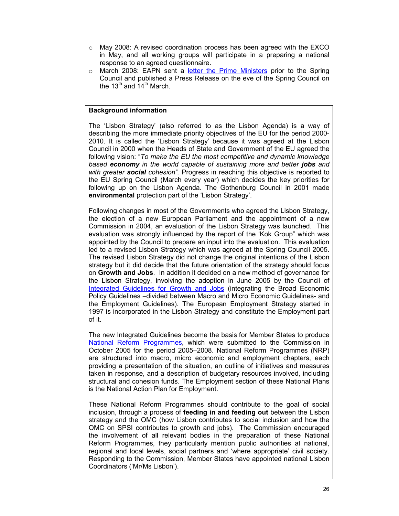- $\circ$  May 2008: A revised coordination process has been agreed with the EXCO in May, and all working groups will participate in a preparing a national response to an agreed questionnaire.
- o March 2008: EAPN sent a letter the Prime Ministers prior to the Spring Council and published a Press Release on the eve of the Spring Council on the 13<sup>th</sup> and  $14<sup>th</sup>$  March.

### **Background information**

The 'Lisbon Strategy' (also referred to as the Lisbon Agenda) is a way of describing the more immediate priority objectives of the EU for the period 2000- 2010. It is called the 'Lisbon Strategy' because it was agreed at the Lisbon Council in 2000 when the Heads of State and Government of the EU agreed the following vision: "*To make the EU the most competitive and dynamic knowledge based economy in the world capable of sustaining more and better jobs and with greater social cohesion".* Progress in reaching this objective is reported to the EU Spring Council (March every year) which decides the key priorities for following up on the Lisbon Agenda. The Gothenburg Council in 2001 made **environmental** protection part of the 'Lisbon Strategy'.

Following changes in most of the Governments who agreed the Lisbon Strategy, the election of a new European Parliament and the appointment of a new Commission in 2004, an evaluation of the Lisbon Strategy was launched. This evaluation was strongly influenced by the report of the 'Kok Group" which was appointed by the Council to prepare an input into the evaluation. This evaluation led to a revised Lisbon Strategy which was agreed at the Spring Council 2005. The revised Lisbon Strategy did not change the original intentions of the Lisbon strategy but it did decide that the future orientation of the strategy should focus on **Growth and Jobs**. In addition it decided on a new method of governance for the Lisbon Strategy, involving the adoption in June 2005 by the Council of Integrated Guidelines for Growth and Jobs (integrating the Broad Economic Policy Guidelines –divided between Macro and Micro Economic Guidelines- and the Employment Guidelines). The European Employment Strategy started in 1997 is incorporated in the Lisbon Strategy and constitute the Employment part of it.

The new Integrated Guidelines become the basis for Member States to produce National Reform Programmes, which were submitted to the Commission in October 2005 for the period 2005–2008. National Reform Programmes (NRP) are structured into macro, micro economic and employment chapters, each providing a presentation of the situation, an outline of initiatives and measures taken in response, and a description of budgetary resources involved, including structural and cohesion funds. The Employment section of these National Plans is the National Action Plan for Employment.

These National Reform Programmes should contribute to the goal of social inclusion, through a process of **feeding in and feeding out** between the Lisbon strategy and the OMC (how Lisbon contributes to social inclusion and how the OMC on SPSI contributes to growth and jobs). The Commission encouraged the involvement of all relevant bodies in the preparation of these National Reform Programmes, they particularly mention public authorities at national, regional and local levels, social partners and 'where appropriate' civil society. Responding to the Commission, Member States have appointed national Lisbon Coordinators ('Mr/Ms Lisbon').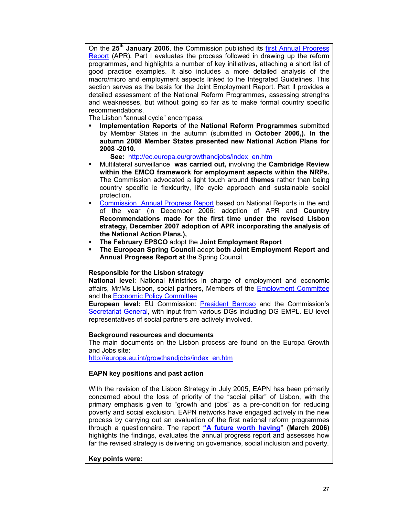On the **25th January 2006**, the Commission published its first Annual Progress Report (APR)*.* Part I evaluates the process followed in drawing up the reform programmes, and highlights a number of key initiatives, attaching a short list of good practice examples. It also includes a more detailed analysis of the macro/micro and employment aspects linked to the Integrated Guidelines. This section serves as the basis for the Joint Employment Report. Part ll provides a detailed assessment of the National Reform Programmes, assessing strengths and weaknesses, but without going so far as to make formal country specific recommendations.

The Lisbon "annual cycle" encompass:

 **Implementation Reports** of the **National Reform Programmes** submitted by Member States in the autumn (submitted in **October 2006,). In the autumn 2008 Member States presented new National Action Plans for 2008 -2010.**

 **See:** http://ec.europa.eu/growthandjobs/index\_en.htm

- Multilateral surveillance **was carried out,** involving the **Cambridge Review within the EMCO framework for employment aspects within the NRPs.**  The Commission advocated a light touch around **themes** rather than being country specific ie flexicurity, life cycle approach and sustainable social protection**.**
- Commission Annual Progress Report based on National Reports in the end of the year (in December 2006: adoption of APR and **Country Recommendations made for the first time under the revised Lisbon strategy, December 2007 adoption of APR incorporating the analysis of the National Action Plans.),**
- **The February EPSCO** adopt the **Joint Employment Report**
- **The European Spring Council** adopt **both Joint Employment Report and Annual Progress Report at** the Spring Council.

# **Responsible for the Lisbon strategy**

**National level**: National Ministries in charge of employment and economic affairs, Mr/Ms Lisbon, social partners, Members of the Employment Committee and the Economic Policy Committee

**European level:** EU Commission: President Barroso and the Commission's Secretariat General, with input from various DGs including DG EMPL. EU level representatives of social partners are actively involved.

# **Background resources and documents**

The main documents on the Lisbon process are found on the Europa Growth and Jobs site:

http://europa.eu.int/growthandjobs/index\_en.htm

# **EAPN key positions and past action**

With the revision of the Lisbon Strategy in July 2005, EAPN has been primarily concerned about the loss of priority of the "social pillar" of Lisbon, with the primary emphasis given to "growth and jobs" as a pre-condition for reducing poverty and social exclusion. EAPN networks have engaged actively in the new process by carrying out an evaluation of the first national reform programmes through a questionnaire. The report **"A future worth having" (March 2006)** highlights the findings, evaluates the annual progress report and assesses how far the revised strategy is delivering on governance, social inclusion and poverty.

# **Key points were:**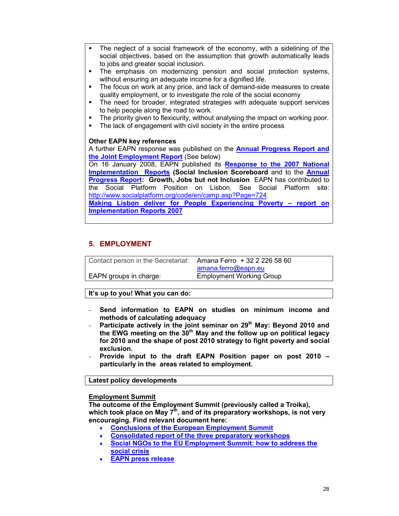- The neglect of a social framework of the economy, with a sidelining of the social objectives, based on the assumption that growth automatically leads to jobs and greater social inclusion.
- The emphasis on modernizing pension and social protection systems, without ensuring an adequate income for a dignified life.
- The focus on work at any price, and lack of demand-side measures to create quality employment, or to investigate the role of the social economy
- The need for broader, integrated strategies with adequate support services to help people along the road to work.
- The priority given to flexicurity, without analysing the impact on working poor.
- The lack of engagement with civil society in the entire process

# **Other EAPN key references**

A further EAPN response was published on the **Annual Progress Report and the Joint Employment Report** (See below)

On 16 January 2008, EAPN published its **Response to the 2007 National Implementation Reports (Social Inclusion Scoreboard** and to the **Annual Progress Report: Growth, Jobs but not Inclusion** EAPN has contributed to the Social Platform Position on Lisbon. See Social Platform site: http://www.socialplatform.org/code/en/camp.asp?Page=724

**Making Lisbon deliver for People Experiencing Poverty – report on Implementation Reports 2007**

# **5. EMPLOYMENT**

Contact person in the Secretariat: Amana Ferro + 32 2 226 58 60

 amana.ferro@eapn.eu EAPN groups in charge: Employment Working Group

**It's up to you! What you can do:** 

- **Send information to EAPN on studies on minimum income and methods of calculating adequacy**
- **Participate actively in the joint seminar on 29th May: Beyond 2010 and the EWG meeting on the 30th May and the follow up on political legacy for 2010 and the shape of post 2010 strategy to fight poverty and social exclusion.**
- **Provide input to the draft EAPN Position paper on post 2010 particularly in the areas related to employment.**

**Latest policy developments** 

#### **Employment Summit**

**The outcome of the Employment Summit (previously called a Troika), which took place on May 7th, and of its preparatory workshops, is not very encouraging. Find relevant document here:** 

- **Conclusions of the European Employment Summit**
- **Consolidated report of the three preparatory workshops**
- **Social NGOs to the EU Employment Summit: how to address the social crisis**
- **EAPN press release**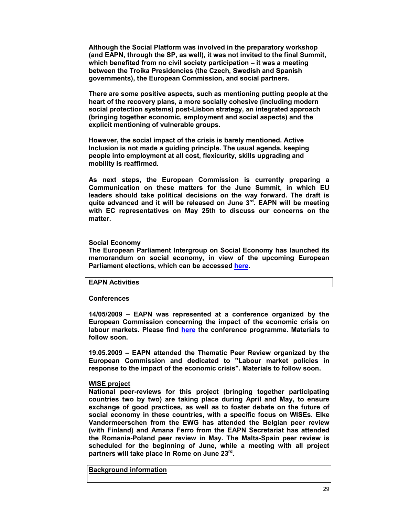**Although the Social Platform was involved in the preparatory workshop (and EAPN, through the SP, as well), it was not invited to the final Summit, which benefited from no civil society participation – it was a meeting between the Troika Presidencies (the Czech, Swedish and Spanish governments), the European Commission, and social partners.** 

**There are some positive aspects, such as mentioning putting people at the heart of the recovery plans, a more socially cohesive (including modern social protection systems) post-Lisbon strategy, an integrated approach (bringing together economic, employment and social aspects) and the explicit mentioning of vulnerable groups.** 

**However, the social impact of the crisis is barely mentioned. Active Inclusion is not made a guiding principle. The usual agenda, keeping people into employment at all cost, flexicurity, skills upgrading and mobility is reaffirmed.** 

**As next steps, the European Commission is currently preparing a Communication on these matters for the June Summit, in which EU leaders should take political decisions on the way forward. The draft is quite advanced and it will be released on June 3rd. EAPN will be meeting with EC representatives on May 25th to discuss our concerns on the matter.** 

#### **Social Economy**

**The European Parliament Intergroup on Social Economy has launched its memorandum on social economy, in view of the upcoming European Parliament elections, which can be accessed here.** 

#### **EAPN Activities**

#### **Conferences**

**14/05/2009 – EAPN was represented at a conference organized by the European Commission concerning the impact of the economic crisis on labour markets. Please find here the conference programme. Materials to follow soon.** 

**19.05.2009 – EAPN attended the Thematic Peer Review organized by the European Commission and dedicated to "Labour market policies in response to the impact of the economic crisis". Materials to follow soon.** 

#### **WISE project**

**National peer-reviews for this project (bringing together participating countries two by two) are taking place during April and May, to ensure exchange of good practices, as well as to foster debate on the future of social economy in these countries, with a specific focus on WISEs. Elke Vandermeerschen from the EWG has attended the Belgian peer review (with Finland) and Amana Ferro from the EAPN Secretariat has attended the Romania-Poland peer review in May. The Malta-Spain peer review is scheduled for the beginning of June, while a meeting with all project partners will take place in Rome on June 23rd .** 

**Background information**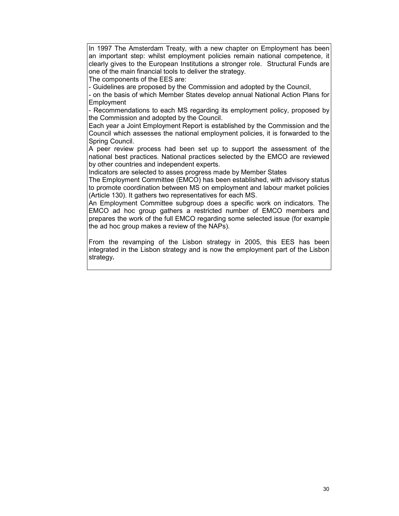In 1997 The Amsterdam Treaty, with a new chapter on Employment has been an important step: whilst employment policies remain national competence, it clearly gives to the European Institutions a stronger role. Structural Funds are one of the main financial tools to deliver the strategy.

The components of the EES are:

- Guidelines are proposed by the Commission and adopted by the Council,

- on the basis of which Member States develop annual National Action Plans for Employment

- Recommendations to each MS regarding its employment policy, proposed by the Commission and adopted by the Council.

Each year a Joint Employment Report is established by the Commission and the Council which assesses the national employment policies, it is forwarded to the Spring Council.

A peer review process had been set up to support the assessment of the national best practices. National practices selected by the EMCO are reviewed by other countries and independent experts.

Indicators are selected to asses progress made by Member States

The Employment Committee (EMCO) has been established, with advisory status to promote coordination between MS on employment and labour market policies (Article 130). It gathers two representatives for each MS.

An Employment Committee subgroup does a specific work on indicators. The EMCO ad hoc group gathers a restricted number of EMCO members and prepares the work of the full EMCO regarding some selected issue (for example the ad hoc group makes a review of the NAPs).

From the revamping of the Lisbon strategy in 2005, this EES has been integrated in the Lisbon strategy and is now the employment part of the Lisbon strategy**.**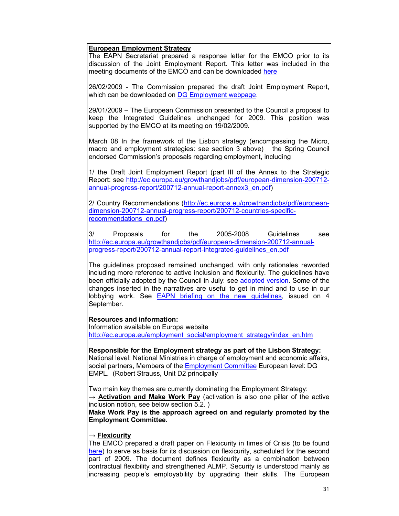# **European Employment Strategy**

The EAPN Secretariat prepared a response letter for the EMCO prior to its discussion of the Joint Employment Report. This letter was included in the meeting documents of the EMCO and can be downloaded here

26/02/2009 - The Commission prepared the draft Joint Employment Report, which can be downloaded on DG Employment webpage.

29/01/2009 – The European Commission presented to the Council a proposal to keep the Integrated Guidelines unchanged for 2009*.* This position was supported by the EMCO at its meeting on 19/02/2009.

March 08 In the framework of the Lisbon strategy (encompassing the Micro, macro and employment strategies: see section 3 above) the Spring Council endorsed Commission's proposals regarding employment, including

1/ the Draft Joint Employment Report (part III of the Annex to the Strategic Report: see http://ec.europa.eu/growthandjobs/pdf/european-dimension-200712 annual-progress-report/200712-annual-report-annex3\_en.pdf)

2/ Country Recommendations (http://ec.europa.eu/growthandjobs/pdf/europeandimension-200712-annual-progress-report/200712-countries-specificrecommendations\_en.pdf)

3/ Proposals for the 2005-2008 Guidelines see http://ec.europa.eu/growthandjobs/pdf/european-dimension-200712-annualprogress-report/200712-annual-report-integrated-guidelines\_en.pdf

The guidelines proposed remained unchanged, with only rationales reworded including more reference to active inclusion and flexicurity. The guidelines have been officially adopted by the Council in July: see adopted version. Some of the changes inserted in the narratives are useful to get in mind and to use in our lobbying work. See EAPN briefing on the new guidelines, issued on 4 September.

# **Resources and information:**

Information available on Europa website http://ec.europa.eu/employment\_social/employment\_strategy/index\_en.htm

**Responsible for the Employment strategy as part of the Lisbon Strategy:**  National level: National Ministries in charge of employment and economic affairs, social partners, Members of the Employment Committee European level: DG EMPL. (Robert Strauss, Unit D2 principally

Two main key themes are currently dominating the Employment Strategy:

→ **Activation and Make Work Pay** (activation is also one pillar of the active inclusion notion, see below section 5.2. )

**Make Work Pay is the approach agreed on and regularly promoted by the Employment Committee.** 

#### → **Flexicurity**

The EMCO prepared a draft paper on Flexicurity in times of Crisis (to be found here) to serve as basis for its discussion on flexicurity, scheduled for the second part of 2009. The document defines flexicurity as a combination between contractual flexibility and strengthened ALMP. Security is understood mainly as increasing people's employability by upgrading their skills. The European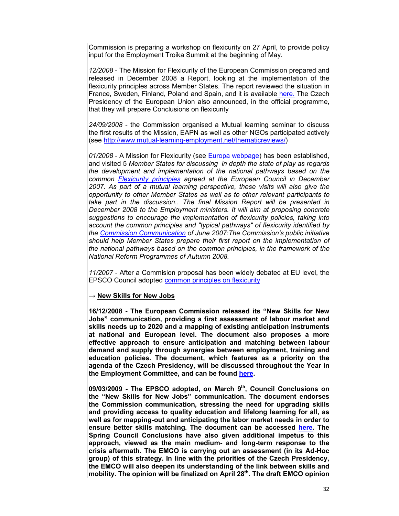Commission is preparing a workshop on flexicurity on 27 April, to provide policy input for the Employment Troika Summit at the beginning of May.

*12/2008* - The Mission for Flexicurity of the European Commission prepared and released in December 2008 a Report, looking at the implementation of the flexicurity principles across Member States. The report reviewed the situation in France, Sweden, Finland, Poland and Spain, and it is available here. The Czech Presidency of the European Union also announced, in the official programme, that they will prepare Conclusions on flexicurity

*24/09/2008* - the Commission organised a Mutual learning seminar to discuss the first results of the Mission, EAPN as well as other NGOs participated actively (see http://www.mutual-learning-employment.net/thematicreviews/)

*01/2008* - A Mission for Flexicurity (see Europa webpage) has been established, and visited 5 *Member States for discussing in depth the state of play as regards the development and implementation of the national pathways based on the common Flexicurity principles agreed at the European Council in December 2007. As part of a mutual learning perspective, these visits will also give the opportunity to other Member States as well as to other relevant participants to*  take part in the discussion.. The final Mission Report will be presented in *December 2008 to the Employment ministers. It will aim at proposing concrete suggestions to encourage the implementation of flexicurity policies, taking into account the common principles and "typical pathways" of flexicurity identified by the Commission Communication of June 2007:The Commission's public initiative should help Member States prepare their first report on the implementation of the national pathways based on the common principles, in the framework of the National Reform Programmes of Autumn 2008.* 

*11/2007* - After a Commision proposal has been widely debated at EU level, the EPSCO Council adopted common principles on flexicurity

#### → **New Skills for New Jobs**

**16/12/2008 - The European Commission released its "New Skills for New Jobs" communication, providing a first assessment of labour market and skills needs up to 2020 and a mapping of existing anticipation instruments at national and European level. The document also proposes a more effective approach to ensure anticipation and matching between labour demand and supply through synergies between employment, training and education policies. The document, which features as a priority on the agenda of the Czech Presidency, will be discussed throughout the Year in the Employment Committee, and can be found here.** 

**09/03/2009 - The EPSCO adopted, on March 9th, Council Conclusions on the "New Skills for New Jobs" communication. The document endorses the Commission communication, stressing the need for upgrading skills and providing access to quality education and lifelong learning for all, as well as for mapping-out and anticipating the labor market needs in order to ensure better skills matching. The document can be accessed here. The Spring Council Conclusions have also given additional impetus to this approach, viewed as the main medium- and long-term response to the crisis aftermath. The EMCO is carrying out an assessment (in its Ad-Hoc group) of this strategy. In line with the priorities of the Czech Presidency, the EMCO will also deepen its understanding of the link between skills and mobility. The opinion will be finalized on April 28th. The draft EMCO opinion**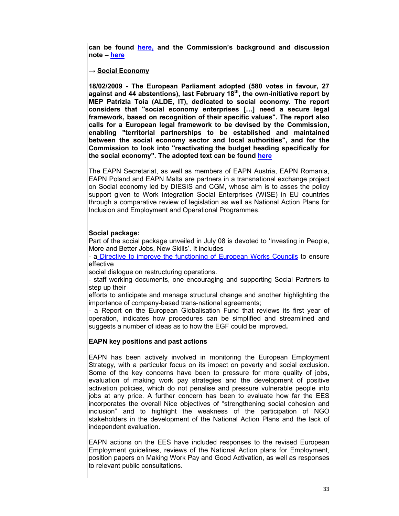**can be found here, and the Commission's background and discussion note – here**

### → **Social Economy**

**18/02/2009 - The European Parliament adopted (580 votes in favour, 27 against and 44 abstentions), last February 18th, the own-initiative report by MEP Patrizia Toia (ALDE, IT), dedicated to social economy. The report considers that "social economy enterprises […] need a secure legal framework, based on recognition of their specific values". The report also calls for a European legal framework to be devised by the Commission, enabling "territorial partnerships to be established and maintained between the social economy sector and local authorities", and for the Commission to look into "reactivating the budget heading specifically for the social economy". The adopted text can be found here**

The EAPN Secretariat, as well as members of EAPN Austria, EAPN Romania, EAPN Poland and EAPN Malta are partners in a transnational exchange project on Social economy led by DIESIS and CGM, whose aim is to asses the policy support given to Work Integration Social Enterprises (WISE) in EU countries through a comparative review of legislation as well as National Action Plans for Inclusion and Employment and Operational Programmes.

# **Social package:**

Part of the social package unveiled in July 08 is devoted to 'Investing in People, More and Better Jobs, New Skills'. It includes

- a Directive to improve the functioning of European Works Councils to ensure effective

social dialogue on restructuring operations.

- staff working documents, one encouraging and supporting Social Partners to step up their

efforts to anticipate and manage structural change and another highlighting the importance of company-based trans-national agreements;

- a Report on the European Globalisation Fund that reviews its first year of operation, indicates how procedures can be simplified and streamlined and suggests a number of ideas as to how the EGF could be improved**.** 

# **EAPN key positions and past actions**

EAPN has been actively involved in monitoring the European Employment Strategy, with a particular focus on its impact on poverty and social exclusion. Some of the key concerns have been to pressure for more quality of jobs, evaluation of making work pay strategies and the development of positive activation policies, which do not penalise and pressure vulnerable people into jobs at any price. A further concern has been to evaluate how far the EES incorporates the overall Nice objectives of "strengthening social cohesion and inclusion" and to highlight the weakness of the participation of NGO stakeholders in the development of the National Action Plans and the lack of independent evaluation.

EAPN actions on the EES have included responses to the revised European Employment guidelines, reviews of the National Action plans for Employment, position papers on Making Work Pay and Good Activation, as well as responses to relevant public consultations.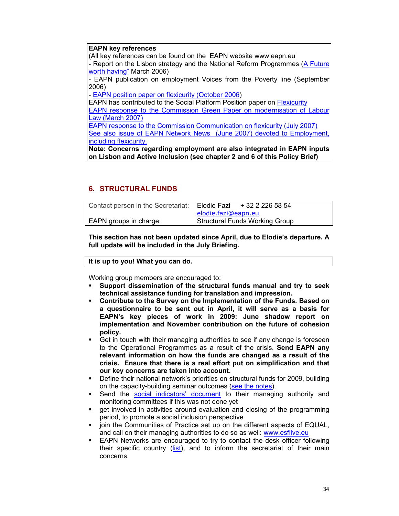#### **EAPN key references**

(All key references can be found on the EAPN website www.eapn.eu - Report on the Lisbon strategy and the National Reform Programmes (A Future worth having" March 2006)

- EAPN publication on employment Voices from the Poverty line (September 2006)

- EAPN position paper on flexicurity (October 2006)

EAPN has contributed to the Social Platform Position paper on Flexicurity

EAPN response to the Commission Green Paper on modernisation of Labour Law (March 2007)

EAPN response to the Commission Communication on flexicurity (July 2007) See also issue of EAPN Network News (June 2007) devoted to Employment, including flexicurity.

**Note: Concerns regarding employment are also integrated in EAPN inputs on Lisbon and Active Inclusion (see chapter 2 and 6 of this Policy Brief)** 

# **6. STRUCTURAL FUNDS**

| Contact person in the Secretariat: | Elodie Fazi                           | + 32 2 226 58 54 |  |
|------------------------------------|---------------------------------------|------------------|--|
|                                    | elodie.fazi@eapn.eu                   |                  |  |
| EAPN groups in charge:             | <b>Structural Funds Working Group</b> |                  |  |

**This section has not been updated since April, due to Elodie's departure. A full update will be included in the July Briefing.** 

**It is up to you! What you can do.** 

Working group members are encouraged to:

- **Support dissemination of the structural funds manual and try to seek technical assistance funding for translation and impression.**
- **Contribute to the Survey on the Implementation of the Funds. Based on a questionnaire to be sent out in April, it will serve as a basis for EAPN's key pieces of work in 2009: June shadow report on implementation and November contribution on the future of cohesion policy.**
- Get in touch with their managing authorities to see if any change is foreseen to the Operational Programmes as a result of the crisis. **Send EAPN any relevant information on how the funds are changed as a result of the crisis. Ensure that there is a real effort put on simplification and that our key concerns are taken into account.**
- Define their national network's priorities on structural funds for 2009, building on the capacity-building seminar outcomes (see the notes).
- Send the social indicators' document to their managing authority and monitoring committees if this was not done yet
- get involved in activities around evaluation and closing of the programming period, to promote a social inclusion perspective
- join the Communities of Practice set up on the different aspects of EQUAL, and call on their managing authorities to do so as well: www.esflive.eu
- EAPN Networks are encouraged to try to contact the desk officer following their specific country (list), and to inform the secretariat of their main concerns.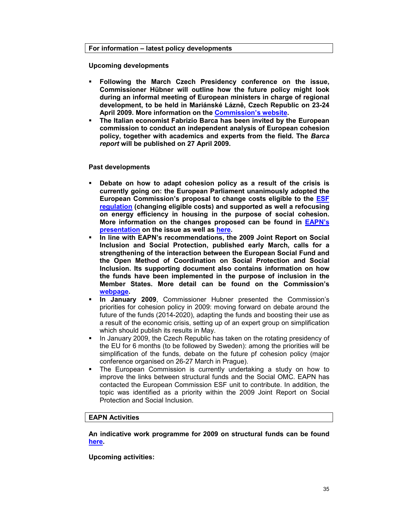#### **For information – latest policy developments**

**Upcoming developments** 

- **Following the March Czech Presidency conference on the issue, Commissioner Hübner will outline how the future policy might look during an informal meeting of European ministers in charge of regional development, to be held in Mariánské Lázně, Czech Republic on 23-24 April 2009. More information on the Commission's website.**
- **The Italian economist Fabrizio Barca has been invited by the European commission to conduct an independent analysis of European cohesion policy, together with academics and experts from the field. The** *Barca report* **will be published on 27 April 2009.**

#### **Past developments**

- **Debate on how to adapt cohesion policy as a result of the crisis is currently going on: the European Parliament unanimously adopted the European Commission's proposal to change costs eligible to the ESF regulation (changing eligible costs) and supported as well a refocusing on energy efficiency in housing in the purpose of social cohesion. More information on the changes proposed can be found in EAPN's presentation on the issue as well as here.**
- **In line with EAPN's recommendations, the 2009 Joint Report on Social Inclusion and Social Protection, published early March, calls for a strengthening of the interaction between the European Social Fund and the Open Method of Coordination on Social Protection and Social Inclusion. Its supporting document also contains information on how the funds have been implemented in the purpose of inclusion in the Member States. More detail can be found on the Commission's webpage.**
- **In January 2009**, Commissioner Hubner presented the Commission's priorities for cohesion policy in 2009: moving forward on debate around the future of the funds (2014-2020), adapting the funds and boosting their use as a result of the economic crisis, setting up of an expert group on simplification which should publish its results in May.
- In January 2009, the Czech Republic has taken on the rotating presidency of the EU for 6 months (to be followed by Sweden): among the priorities will be simplification of the funds, debate on the future pf cohesion policy (major conference organised on 26-27 March in Prague).
- The European Commission is currently undertaking a study on how to improve the links between structural funds and the Social OMC. EAPN has contacted the European Commission ESF unit to contribute. In addition, the topic was identified as a priority within the 2009 Joint Report on Social Protection and Social Inclusion.

# **EAPN Activities**

**An indicative work programme for 2009 on structural funds can be found here.** 

**Upcoming activities:**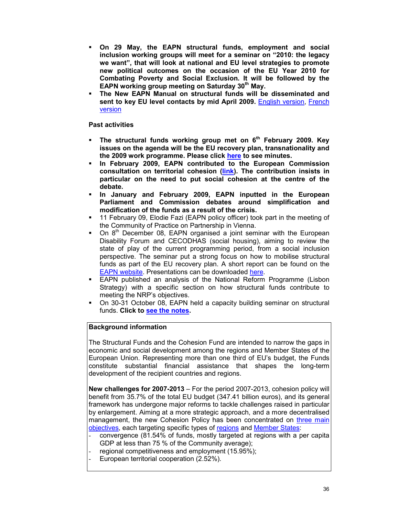- **On 29 May, the EAPN structural funds, employment and social inclusion working groups will meet for a seminar on "2010: the legacy we want", that will look at national and EU level strategies to promote new political outcomes on the occasion of the EU Year 2010 for Combating Poverty and Social Exclusion. It will be followed by the EAPN working group meeting on Saturday 30th May.**
- **The New EAPN Manual on structural funds will be disseminated and sent to key EU level contacts by mid April 2009.** English version, French version

### **Past activities**

- **The structural funds working group met on 6th February 2009. Key issues on the agenda will be the EU recovery plan, transnationality and the 2009 work programme. Please click here to see minutes.**
- **In February 2009, EAPN contributed to the European Commission consultation on territorial cohesion (link). The contribution insists in particular on the need to put social cohesion at the centre of the debate.**
- **In January and February 2009, EAPN inputted in the European Parliament and Commission debates around simplification and modification of the funds as a result of the crisis.**
- 11 February 09, Elodie Fazi (EAPN policy officer) took part in the meeting of the Community of Practice on Partnership in Vienna.
- On 8<sup>th</sup> December 08, EAPN organised a joint seminar with the European Disability Forum and CECODHAS (social housing), aiming to review the state of play of the current programming period, from a social inclusion perspective. The seminar put a strong focus on how to mobilise structural funds as part of the EU recovery plan. A short report can be found on the EAPN website. Presentations can be downloaded here.
- EAPN published an analysis of the National Reform Programme (Lisbon Strategy) with a specific section on how structural funds contribute to meeting the NRP's objectives.
- On 30-31 October 08, EAPN held a capacity building seminar on structural funds. **Click to see the notes.**

# **Background information**

The Structural Funds and the Cohesion Fund are intended to narrow the gaps in economic and social development among the regions and Member States of the European Union. Representing more than one third of EU's budget, the Funds constitute substantial financial assistance that shapes the long-term development of the recipient countries and regions.

**New challenges for 2007-2013** – For the period 2007-2013, cohesion policy will benefit from 35.7% of the total EU budget (347.41 billion euros), and its general framework has undergone major reforms to tackle challenges raised in particular by enlargement. Aiming at a more strategic approach, and a more decentralised management, the new Cohesion Policy has been concentrated on three main objectives, each targeting specific types of regions and Member States:

- convergence (81.54% of funds, mostly targeted at regions with a per capita GDP at less than 75 % of the Community average);
- regional competitiveness and employment (15.95%);
- European territorial cooperation (2.52%).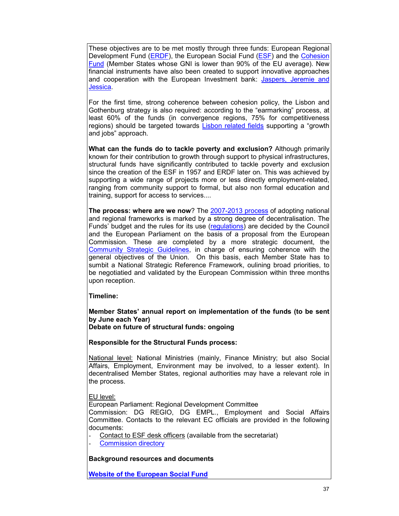These objectives are to be met mostly through three funds: European Regional Development Fund (ERDF), the European Social Fund (ESF) and the Cohesion Fund (Member States whose GNI is lower than 90% of the EU average). New financial instruments have also been created to support innovative approaches and cooperation with the European Investment bank: Jaspers, Jeremie and Jessica.

For the first time, strong coherence between cohesion policy, the Lisbon and Gothenburg strategy is also required: according to the "earmarking" process, at least 60% of the funds (in convergence regions, 75% for competitiveness regions) should be targeted towards Lisbon related fields supporting a "growth and jobs" approach.

**What can the funds do to tackle poverty and exclusion?** Although primarily known for their contribution to growth through support to physical infrastructures, structural funds have significantly contributed to tackle poverty and exclusion since the creation of the ESF in 1957 and ERDF later on. This was achieved by supporting a wide range of projects more or less directly employment-related, ranging from community support to formal, but also non formal education and training, support for access to services....

**The process: where are we now**? The **2007-2013 process** of adopting national and regional frameworks is marked by a strong degree of decentralisation. The Funds' budget and the rules for its use (regulations) are decided by the Council and the European Parliament on the basis of a proposal from the European Commission. These are completed by a more strategic document, the Community Strategic Guidelines, in charge of ensuring coherence with the general objectives of the Union. On this basis, each Member State has to sumbit a National Strategic Reference Framework, oulining broad priorities, to be negotiatied and validated by the European Commission within three months upon reception.

**Timeline:** 

**Member States' annual report on implementation of the funds (to be sent by June each Year)** 

**Debate on future of structural funds: ongoing** 

**Responsible for the Structural Funds process:** 

National level: National Ministries (mainly, Finance Ministry; but also Social Affairs, Employment, Environment may be involved, to a lesser extent). In decentralised Member States, regional authorities may have a relevant role in the process.

EU level:

European Parliament: Regional Development Committee

Commission: DG REGIO, DG EMPL., Employment and Social Affairs Committee. Contacts to the relevant EC officials are provided in the following documents:

Contact to ESF desk officers (available from the secretariat)

Commission directory

**Background resources and documents**

**Website of the European Social Fund**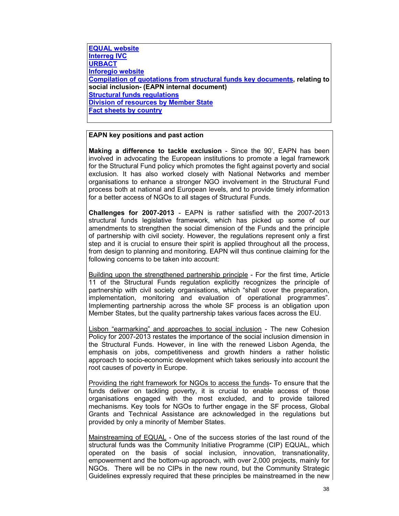**EQUAL website Interreg IVC URBACT Inforegio website Compilation of quotations from structural funds key documents, relating to social inclusion- (EAPN internal document) Structural funds regulations Division of resources by Member State Fact sheets by country**

#### **EAPN key positions and past action**

**Making a difference to tackle exclusion** - Since the 90', EAPN has been involved in advocating the European institutions to promote a legal framework for the Structural Fund policy which promotes the fight against poverty and social exclusion. It has also worked closely with National Networks and member organisations to enhance a stronger NGO involvement in the Structural Fund process both at national and European levels, and to provide timely information for a better access of NGOs to all stages of Structural Funds.

**Challenges for 2007-2013** - EAPN is rather satisfied with the 2007-2013 structural funds legislative framework, which has picked up some of our amendments to strengthen the social dimension of the Funds and the principle of partnership with civil society. However, the regulations represent only a first step and it is crucial to ensure their spirit is applied throughout all the process, from design to planning and monitoring. EAPN will thus continue claiming for the following concerns to be taken into account:

Building upon the strengthened partnership principle - For the first time, Article 11 of the Structural Funds regulation explicitly recognizes the principle of partnership with civil society organisations, which "shall cover the preparation, implementation, monitoring and evaluation of operational programmes". Implementing partnership across the whole SF process is an obligation upon Member States, but the quality partnership takes various faces across the EU.

Lisbon "earmarking" and approaches to social inclusion - The new Cohesion Policy for 2007-2013 restates the importance of the social inclusion dimension in the Structural Funds. However, in line with the renewed Lisbon Agenda, the emphasis on jobs, competitiveness and growth hinders a rather holistic approach to socio-economic development which takes seriously into account the root causes of poverty in Europe.

Providing the right framework for NGOs to access the funds- To ensure that the funds deliver on tackling poverty, it is crucial to enable access of those organisations engaged with the most excluded, and to provide tailored mechanisms. Key tools for NGOs to further engage in the SF process, Global Grants and Technical Assistance are acknowledged in the regulations but provided by only a minority of Member States.

Mainstreaming of EQUAL - One of the success stories of the last round of the structural funds was the Community Initiative Programme (CIP) EQUAL, which operated on the basis of social inclusion, innovation, transnationality, empowerment and the bottom-up approach, with over 2,000 projects, mainly for NGOs. There will be no CIPs in the new round, but the Community Strategic Guidelines expressly required that these principles be mainstreamed in the new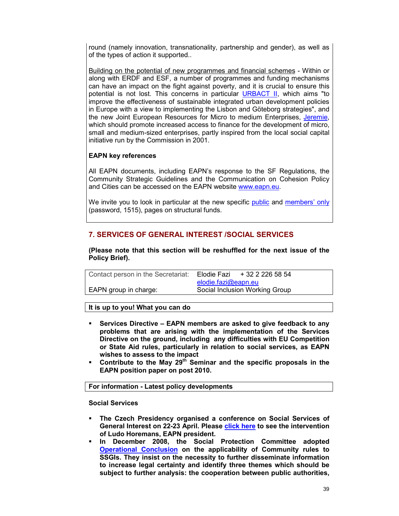round (namely innovation, transnationality, partnership and gender), as well as of the types of action it supported..

Building on the potential of new programmes and financial schemes - Within or along with ERDF and ESF, a number of programmes and funding mechanisms can have an impact on the fight against poverty, and it is crucial to ensure this potential is not lost. This concerns in particular URBACT II, which aims "to improve the effectiveness of sustainable integrated urban development policies in Europe with a view to implementing the Lisbon and Göteborg strategies", and the new Joint European Resources for Micro to medium Enterprises, Jeremie, which should promote increased access to finance for the development of micro, small and medium-sized enterprises, partly inspired from the local social capital initiative run by the Commission in 2001.

# **EAPN key references**

All EAPN documents, including EAPN's response to the SF Regulations, the Community Strategic Guidelines and the Communication on Cohesion Policy and Cities can be accessed on the EAPN website www.eapn.eu.

We invite you to look in particular at the new specific public and members' only (password, 1515), pages on structural funds.

# **7. SERVICES OF GENERAL INTEREST /SOCIAL SERVICES**

**(Please note that this section will be reshuffled for the next issue of the Policy Brief).** 

| Contact person in the Secretariat: | Elodie Fazi                    | + 32 2 226 58 54 |  |
|------------------------------------|--------------------------------|------------------|--|
|                                    | elodie.fazi@eapn.eu            |                  |  |
| EAPN group in charge:              | Social Inclusion Working Group |                  |  |
|                                    |                                |                  |  |

#### **It is up to you! What you can do**

- **Services Directive EAPN members are asked to give feedback to any problems that are arising with the implementation of the Services Directive on the ground, including any difficulties with EU Competition or State Aid rules, particularly in relation to social services, as EAPN wishes to assess to the impact**
- **Contribute to the May 29th Seminar and the specific proposals in the EAPN position paper on post 2010.**

#### **For information - Latest policy developments**

**Social Services** 

- **The Czech Presidency organised a conference on Social Services of**  General Interest on 22-23 April. Please **click here** to see the intervention **of Ludo Horemans, EAPN president.**
- **In December 2008, the Social Protection Committee adopted Operational Conclusion on the applicability of Community rules to SSGIs. They insist on the necessity to further disseminate information to increase legal certainty and identify three themes which should be subject to further analysis: the cooperation between public authorities,**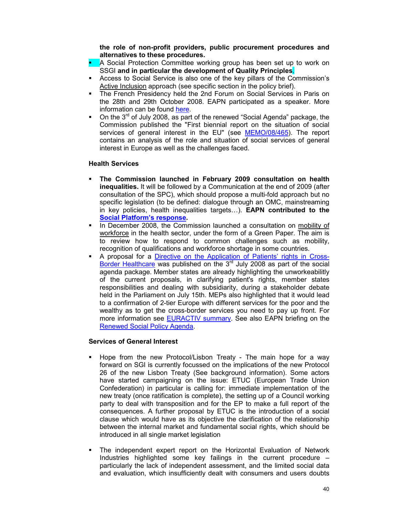**the role of non-profit providers, public procurement procedures and alternatives to these procedures.** 

- A Social Protection Committee working group has been set up to work on SSGI **and in particular the development of Quality Principles**.
- Access to Social Service is also one of the key pillars of the Commission's Active Inclusion approach (see specific section in the policy brief).
- The French Presidency held the 2nd Forum on Social Services in Paris on the 28th and 29th October 2008. EAPN participated as a speaker. More information can be found here.
- On the 3<sup>rd</sup> of July 2008, as part of the renewed "Social Agenda" package, the Commission published the "First biennial report on the situation of social services of general interest in the EU" (see MEMO/08/465). The report contains an analysis of the role and situation of social services of general interest in Europe as well as the challenges faced.

#### **Health Services**

- **The Commission launched in February 2009 consultation on health inequalities.** It will be followed by a Communication at the end of 2009 (after consultation of the SPC), which should propose a multi-fold approach but no specific legislation (to be defined: dialogue through an OMC, mainstreaming in key policies, health inequalities targets…). **EAPN contributed to the Social Platform's response.**
- In December 2008, the Commission launched a consultation on mobility of workforce in the health sector, under the form of a Green Paper. The aim is to review how to respond to common challenges such as mobility, recognition of qualifications and workforce shortage in some countries.
- A proposal for a Directive on the Application of Patients' rights in Cross-Border Healthcare was published on the 3<sup>rd</sup> July 2008 as part of the social agenda package. Member states are already highlighting the unworkeabilitly of the current proposals, in clarifying patient's rights, member states responsibilities and dealing with subsidiarity, during a stakeholder debate held in the Parliament on July 15th. MEPs also highlighted that it would lead to a confirmation of 2-tier Europe with different services for the poor and the wealthy as to get the cross-border services you need to pay up front. For more information see EURACTIV summary. See also EAPN briefing on the Renewed Social Policy Agenda.

#### **Services of General Interest**

- Hope from the new Protocol/Lisbon Treaty The main hope for a way forward on SGI is currently focussed on the implications of the new Protocol 26 of the new Lisbon Treaty (See background information). Some actors have started campaigning on the issue: ETUC (European Trade Union Confederation) in particular is calling for: immediate implementation of the new treaty (once ratification is complete), the setting up of a Council working party to deal with transposition and for the EP to make a full report of the consequences. A further proposal by ETUC is the introduction of a social clause which would have as its objective the clarification of the relationship between the internal market and fundamental social rights, which should be introduced in all single market legislation
- The independent expert report on the Horizontal Evaluation of Network Industries highlighted some key failings in the current procedure – particularly the lack of independent assessment, and the limited social data and evaluation, which insufficiently dealt with consumers and users doubts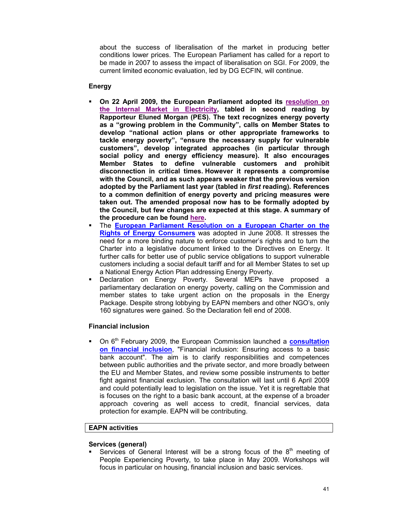about the success of liberalisation of the market in producing better conditions lower prices. The European Parliament has called for a report to be made in 2007 to assess the impact of liberalisation on SGI. For 2009, the current limited economic evaluation, led by DG ECFIN, will continue.

# **Energy**

- **On 22 April 2009, the European Parliament adopted its resolution on the Internal Market in Electricity, tabled in second reading by Rapporteur Eluned Morgan (PES). The text recognizes energy poverty as a "growing problem in the Community", calls on Member States to develop "national action plans or other appropriate frameworks to tackle energy poverty", "ensure the necessary supply for vulnerable customers", develop integrated approaches (in particular through social policy and energy efficiency measure). It also encourages Member States to define vulnerable customers and prohibit disconnection in critical times. However it represents a compromise with the Council, and as such appears weaker that the previous version adopted by the Parliament last year (tabled in** *first* **reading). References to a common definition of energy poverty and pricing measures were taken out. The amended proposal now has to be formally adopted by the Council, but few changes are expected at this stage. A summary of the procedure can be found here.**
- The **European Parliament Resolution on a European Charter on the Rights of Energy Consumers** was adopted in June 2008. It stresses the need for a more binding nature to enforce customer's rights and to turn the Charter into a legislative document linked to the Directives on Energy. It further calls for better use of public service obligations to support vulnerable customers including a social default tariff and for all Member States to set up a National Energy Action Plan addressing Energy Poverty.
- Declaration on Energy Poverty. Several MEPs have proposed a parliamentary declaration on energy poverty, calling on the Commission and member states to take urgent action on the proposals in the Energy Package. Despite strong lobbying by EAPN members and other NGO's, only 160 signatures were gained. So the Declaration fell end of 2008.

# **Financial inclusion**

**On 6<sup>th</sup> February 2009, the European Commission launched a consultation on financial inclusion**, "Financial inclusion: Ensuring access to a basic bank account". The aim is to clarify responsibilities and competences between public authorities and the private sector, and more broadly between the EU and Member States, and review some possible instruments to better fight against financial exclusion. The consultation will last until 6 April 2009 and could potentially lead to legislation on the issue. Yet it is regrettable that is focuses on the right to a basic bank account, at the expense of a broader approach covering as well access to credit, financial services, data protection for example. EAPN will be contributing.

# **EAPN activities**

### **Services (general)**

Services of General Interest will be a strong focus of the  $8<sup>th</sup>$  meeting of People Experiencing Poverty, to take place in May 2009. Workshops will focus in particular on housing, financial inclusion and basic services.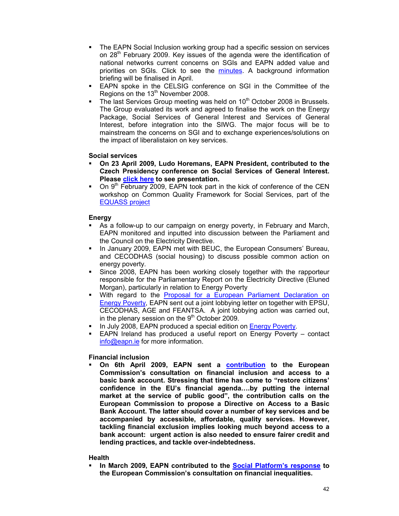- The EAPN Social Inclusion working group had a specific session on services on  $28<sup>th</sup>$  February 2009. Key issues of the agenda were the identification of national networks current concerns on SGIs and EAPN added value and priorities on SGIs. Click to see the minutes. A background information briefing will be finalised in April.
- EAPN spoke in the CELSIG conference on SGI in the Committee of the Regions on the 13<sup>th</sup> November 2008.
- The last Services Group meeting was held on 10<sup>th</sup> October 2008 in Brussels. The Group evaluated its work and agreed to finalise the work on the Energy Package, Social Services of General Interest and Services of General Interest, before integration into the SIWG. The major focus will be to mainstream the concerns on SGI and to exchange experiences/solutions on the impact of liberalistaion on key services.

#### **Social services**

- **On 23 April 2009, Ludo Horemans, EAPN President, contributed to the Czech Presidency conference on Social Services of General Interest. Please click here to see presentation.**
- On 9<sup>th</sup> February 2009, EAPN took part in the kick of conference of the CEN workshop on Common Quality Framework for Social Services, part of the EQUASS project

#### **Energy**

- As a follow-up to our campaign on energy poverty, in February and March, EAPN monitored and inputted into discussion between the Parliament and the Council on the Electricity Directive.
- In January 2009, EAPN met with BEUC, the European Consumers' Bureau, and CECODHAS (social housing) to discuss possible common action on energy poverty.
- Since 2008, EAPN has been working closely together with the rapporteur responsible for the Parliamentary Report on the Electricity Directive (Eluned Morgan), particularly in relation to Energy Poverty
- With regard to the **Proposal for a European** Parliament Declaration on Energy Poverty, EAPN sent out a joint lobbying letter on together with EPSU, CECODHAS, AGE and FEANTSA. A joint lobbying action was carried out, in the plenary session on the  $9<sup>th</sup>$  October 2009.
- In July 2008, EAPN produced a special edition on Energy Poverty.
- EAPN Ireland has produced a useful report on Energy Poverty contact info@eapn.ie for more information.

# **Financial inclusion**

 **On 6th April 2009, EAPN sent a contribution to the European Commission's consultation on financial inclusion and access to a basic bank account. Stressing that time has come to "restore citizens' confidence in the EU's financial agenda….by putting the internal market at the service of public good", the contribution calls on the European Commission to propose a Directive on Access to a Basic Bank Account. The latter should cover a number of key services and be accompanied by accessible, affordable, quality services. However, tackling financial exclusion implies looking much beyond access to a bank account: urgent action is also needed to ensure fairer credit and lending practices, and tackle over-indebtedness.** 

#### **Health**

 **In March 2009, EAPN contributed to the Social Platform's response to the European Commission's consultation on financial inequalities.**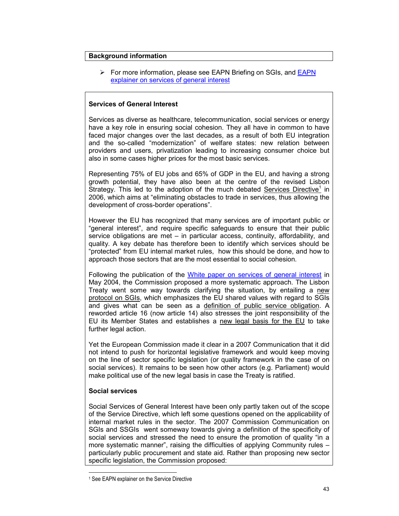# **Background information**

For more information, please see EAPN Briefing on SGIs, and **EAPN** explainer on services of general interest

# **Services of General Interest**

Services as diverse as healthcare, telecommunication, social services or energy have a key role in ensuring social cohesion. They all have in common to have faced major changes over the last decades, as a result of both EU integration and the so-called "modernization" of welfare states: new relation between providers and users, privatization leading to increasing consumer choice but also in some cases higher prices for the most basic services.

Representing 75% of EU jobs and 65% of GDP in the EU, and having a strong growth potential, they have also been at the centre of the revised Lisbon Strategy. This led to the adoption of the much debated Services Directive<sup>1</sup> in 2006, which aims at "eliminating obstacles to trade in services, thus allowing the development of cross-border operations".

However the EU has recognized that many services are of important public or "general interest", and require specific safeguards to ensure that their public service obligations are met – in particular access, continuity, affordability, and quality. A key debate has therefore been to identify which services should be "protected" from EU internal market rules, how this should be done, and how to approach those sectors that are the most essential to social cohesion.

Following the publication of the White paper on services of general interest in May 2004, the Commission proposed a more systematic approach. The Lisbon Treaty went some way towards clarifying the situation, by entailing a new protocol on SGIs, which emphasizes the EU shared values with regard to SGIs and gives what can be seen as a definition of public service obligation. A reworded article 16 (now article 14) also stresses the joint responsibility of the EU its Member States and establishes a new legal basis for the EU to take further legal action.

Yet the European Commission made it clear in a 2007 Communication that it did not intend to push for horizontal legislative framework and would keep moving on the line of sector specific legislation (or quality framework in the case of on social services). It remains to be seen how other actors (e.g. Parliament) would make political use of the new legal basis in case the Treaty is ratified.

# **Social services**

1

Social Services of General Interest have been only partly taken out of the scope of the Service Directive, which left some questions opened on the applicability of internal market rules in the sector. The 2007 Commission Communication on SGIs and SSGIs went someway towards giving a definition of the specificity of social services and stressed the need to ensure the promotion of quality "in a more systematic manner", raising the difficulties of applying Community rules – particularly public procurement and state aid. Rather than proposing new sector specific legislation, the Commission proposed:

<sup>1</sup> See EAPN explainer on the Service Directive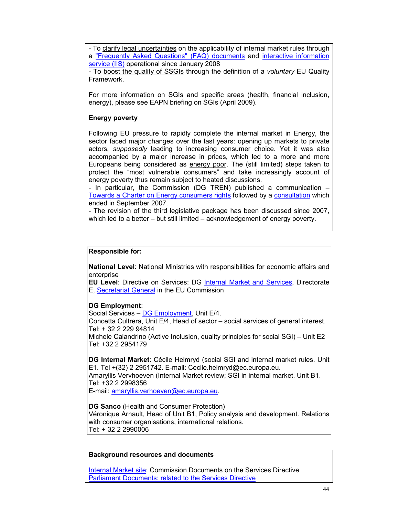- To clarify legal uncertainties on the applicability of internal market rules through a "Frequently Asked Questions" (FAQ) documents and interactive information service (IIS) operational since January 2008

- To boost the quality of SSGIs through the definition of a *voluntary* EU Quality Framework.

For more information on SGIs and specific areas (health, financial inclusion, energy), please see EAPN briefing on SGIs (April 2009).

# **Energy poverty**

Following EU pressure to rapidly complete the internal market in Energy, the sector faced major changes over the last years: opening up markets to private actors, *supposedly* leading to increasing consumer choice. Yet it was also accompanied by a major increase in prices, which led to a more and more Europeans being considered as energy poor. The (still limited) steps taken to protect the "most vulnerable consumers" and take increasingly account of energy poverty thus remain subject to heated discussions.

- In particular, the Commission (DG TREN) published a communication – Towards a Charter on Energy consumers rights followed by a consultation which ended in September 2007.

- The revision of the third legislative package has been discussed since 2007, which led to a better – but still limited – acknowledgement of energy poverty.

# **Responsible for:**

**National Level**: National Ministries with responsibilities for economic affairs and enterprise

**EU Level:** Directive on Services: DG **Internal Market and Services**, Directorate E, Secretariat General in the EU Commission

# **DG Employment**:

Social Services – DG Employment, Unit E/4.

Concetta Cultrera, Unit E/4, Head of sector – social services of general interest. Tel: + 32 2 229 94814

Michele Calandrino (Active Inclusion, quality principles for social SGI) – Unit E2 Tel: +32 2 2954179

**DG Internal Market**: Cécile Helmryd (social SGI and internal market rules. Unit E1. Tel +(32) 2 2951742. E-mail: Cecile.helmryd@ec.europa.eu. Amaryllis Vervhoeven (Internal Market review; SGI in internal market. Unit B1. Tel: +32 2 2998356 E-mail: amaryllis.verhoeven@ec.europa.eu.

**DG Sanco** (Health and Consumer Protection) Véronique Arnault, Head of Unit B1, Policy analysis and development. Relations with consumer organisations, international relations. Tel: + 32 2 2990006

#### **Background resources and documents**

Internal Market site: Commission Documents on the Services Directive Parliament Documents: related to the Services Directive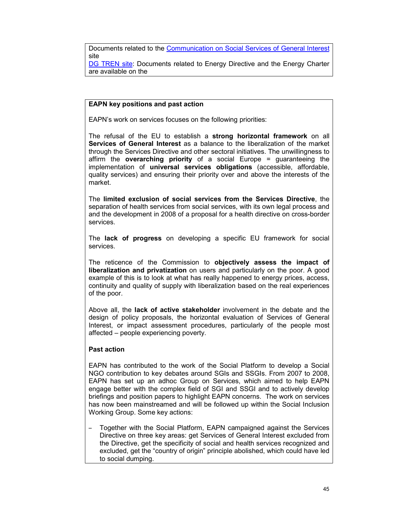Documents related to the Communication on Social Services of General Interest site

DG TREN site: Documents related to Energy Directive and the Energy Charter are available on the

# **EAPN key positions and past action**

EAPN's work on services focuses on the following priorities:

The refusal of the EU to establish a **strong horizontal framework** on all **Services of General Interest** as a balance to the liberalization of the market through the Services Directive and other sectoral initiatives. The unwillingness to affirm the **overarching priority** of a social Europe = guaranteeing the implementation of **universal services obligations** (accessible, affordable, quality services) and ensuring their priority over and above the interests of the market.

The **limited exclusion of social services from the Services Directive**, the separation of health services from social services, with its own legal process and and the development in 2008 of a proposal for a health directive on cross-border services.

The **lack of progress** on developing a specific EU framework for social services.

The reticence of the Commission to **objectively assess the impact of liberalization and privatization** on users and particularly on the poor. A good example of this is to look at what has really happened to energy prices, access, continuity and quality of supply with liberalization based on the real experiences of the poor.

Above all, the **lack of active stakeholder** involvement in the debate and the design of policy proposals, the horizontal evaluation of Services of General Interest, or impact assessment procedures, particularly of the people most affected – people experiencing poverty.

# **Past action**

EAPN has contributed to the work of the Social Platform to develop a Social NGO contribution to key debates around SGIs and SSGIs. From 2007 to 2008, EAPN has set up an adhoc Group on Services, which aimed to help EAPN engage better with the complex field of SGI and SSGI and to actively develop briefings and position papers to highlight EAPN concerns. The work on services has now been mainstreamed and will be followed up within the Social Inclusion Working Group. Some key actions:

– Together with the Social Platform, EAPN campaigned against the Services Directive on three key areas: get Services of General Interest excluded from the Directive, get the specificity of social and health services recognized and excluded, get the "country of origin" principle abolished, which could have led to social dumping.